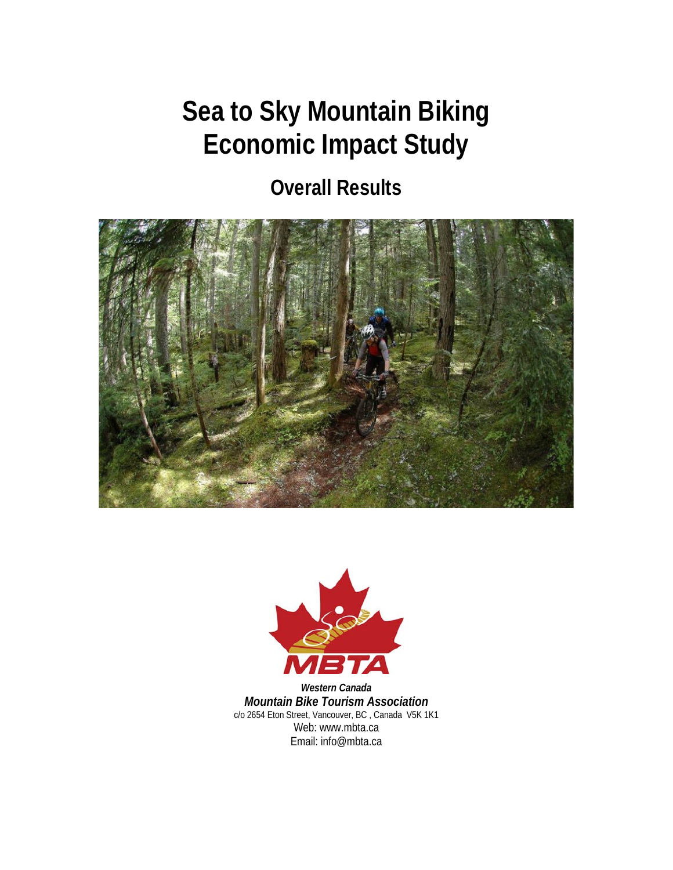# **Sea to Sky Mountain Biking Economic Impact Study**

## **Overall Results**





*Western Canada Mountain Bike Tourism Association*  c/o 2654 Eton Street, Vancouver, BC , Canada V5K 1K1 Web: www.mbta.ca Email: info@mbta.ca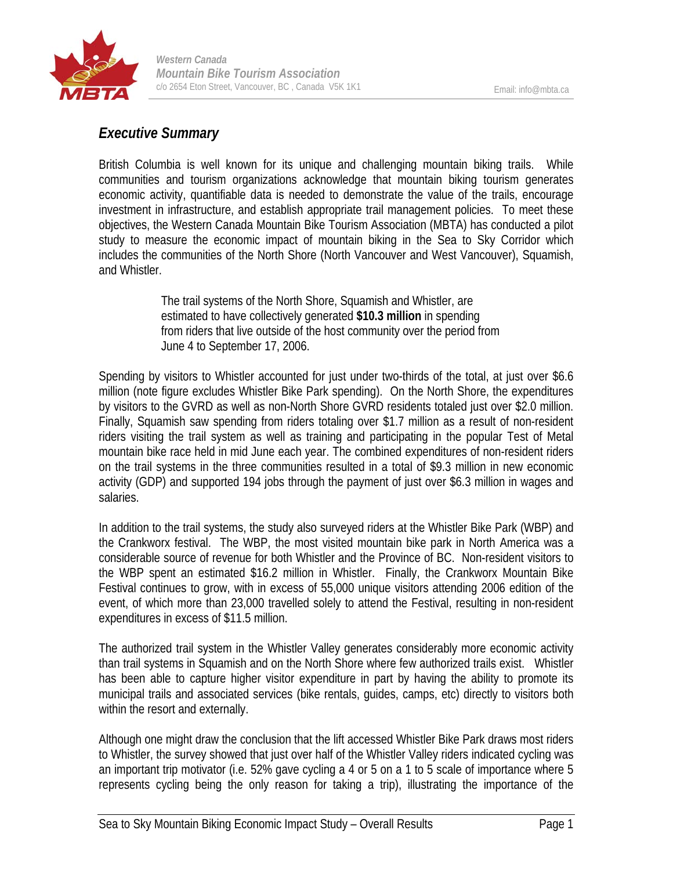

## *Executive Summary*

British Columbia is well known for its unique and challenging mountain biking trails. While communities and tourism organizations acknowledge that mountain biking tourism generates economic activity, quantifiable data is needed to demonstrate the value of the trails, encourage investment in infrastructure, and establish appropriate trail management policies. To meet these objectives, the Western Canada Mountain Bike Tourism Association (MBTA) has conducted a pilot study to measure the economic impact of mountain biking in the Sea to Sky Corridor which includes the communities of the North Shore (North Vancouver and West Vancouver), Squamish, and Whistler.

> The trail systems of the North Shore, Squamish and Whistler, are estimated to have collectively generated **\$10.3 million** in spending from riders that live outside of the host community over the period from June 4 to September 17, 2006.

Spending by visitors to Whistler accounted for just under two-thirds of the total, at just over \$6.6 million (note figure excludes Whistler Bike Park spending). On the North Shore, the expenditures by visitors to the GVRD as well as non-North Shore GVRD residents totaled just over \$2.0 million. Finally, Squamish saw spending from riders totaling over \$1.7 million as a result of non-resident riders visiting the trail system as well as training and participating in the popular Test of Metal mountain bike race held in mid June each year. The combined expenditures of non-resident riders on the trail systems in the three communities resulted in a total of \$9.3 million in new economic activity (GDP) and supported 194 jobs through the payment of just over \$6.3 million in wages and salaries.

In addition to the trail systems, the study also surveyed riders at the Whistler Bike Park (WBP) and the Crankworx festival. The WBP, the most visited mountain bike park in North America was a considerable source of revenue for both Whistler and the Province of BC. Non-resident visitors to the WBP spent an estimated \$16.2 million in Whistler. Finally, the Crankworx Mountain Bike Festival continues to grow, with in excess of 55,000 unique visitors attending 2006 edition of the event, of which more than 23,000 travelled solely to attend the Festival, resulting in non-resident expenditures in excess of \$11.5 million.

The authorized trail system in the Whistler Valley generates considerably more economic activity than trail systems in Squamish and on the North Shore where few authorized trails exist. Whistler has been able to capture higher visitor expenditure in part by having the ability to promote its municipal trails and associated services (bike rentals, guides, camps, etc) directly to visitors both within the resort and externally.

Although one might draw the conclusion that the lift accessed Whistler Bike Park draws most riders to Whistler, the survey showed that just over half of the Whistler Valley riders indicated cycling was an important trip motivator (i.e. 52% gave cycling a 4 or 5 on a 1 to 5 scale of importance where 5 represents cycling being the only reason for taking a trip), illustrating the importance of the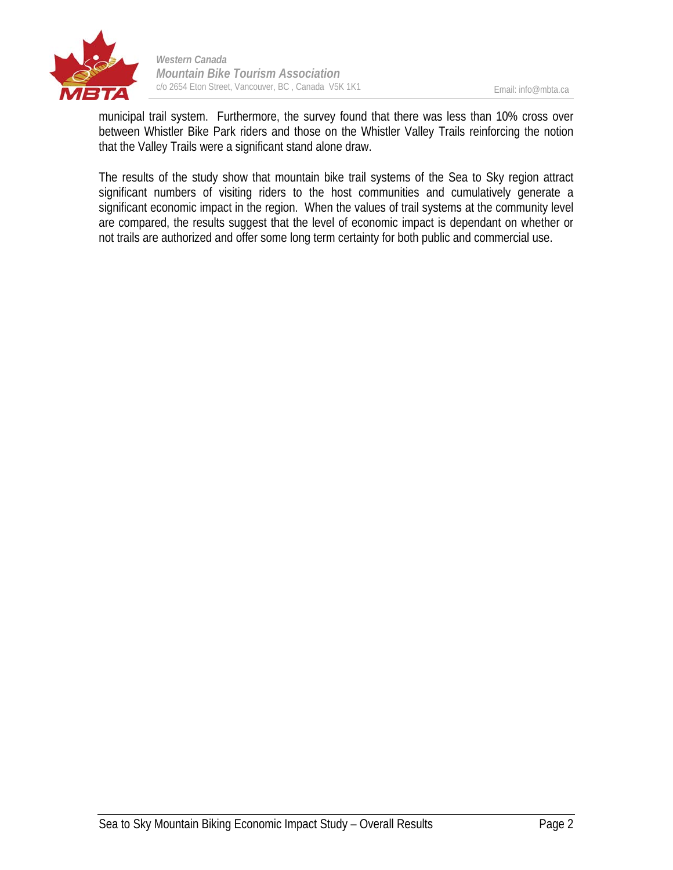

Email: info@mbta.ca

municipal trail system. Furthermore, the survey found that there was less than 10% cross over between Whistler Bike Park riders and those on the Whistler Valley Trails reinforcing the notion that the Valley Trails were a significant stand alone draw.

The results of the study show that mountain bike trail systems of the Sea to Sky region attract significant numbers of visiting riders to the host communities and cumulatively generate a significant economic impact in the region. When the values of trail systems at the community level are compared, the results suggest that the level of economic impact is dependant on whether or not trails are authorized and offer some long term certainty for both public and commercial use.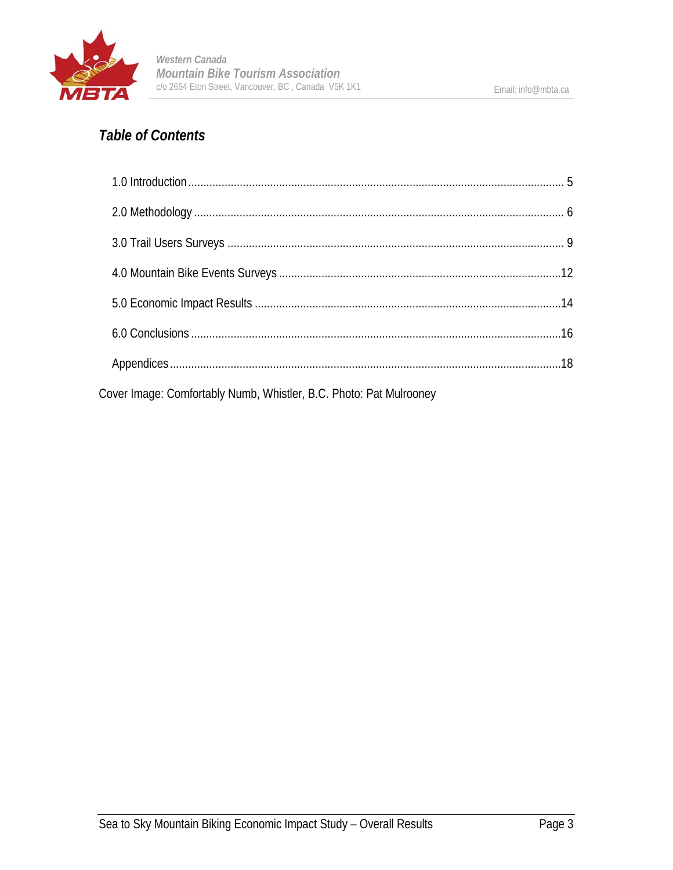

## *Table of Contents*

| Cover Image: Comfortably Numb, Whistler, B.C. Photo: Pat Mulrooney |  |
|--------------------------------------------------------------------|--|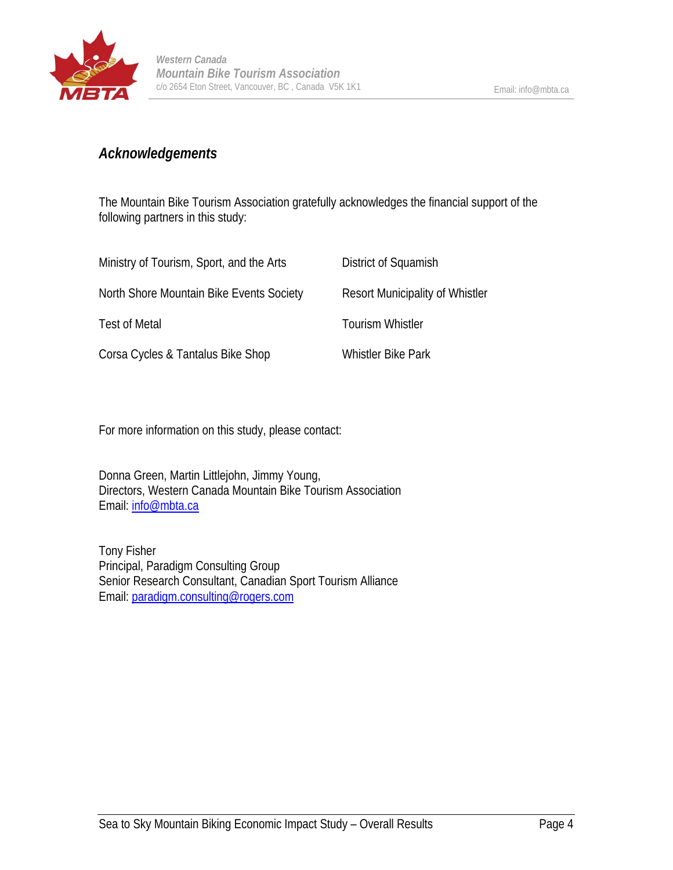

## *Acknowledgements*

The Mountain Bike Tourism Association gratefully acknowledges the financial support of the following partners in this study:

| Ministry of Tourism, Sport, and the Arts | District of Squamish                   |
|------------------------------------------|----------------------------------------|
| North Shore Mountain Bike Events Society | <b>Resort Municipality of Whistler</b> |
| <b>Test of Metal</b>                     | <b>Tourism Whistler</b>                |
| Corsa Cycles & Tantalus Bike Shop        | <b>Whistler Bike Park</b>              |

For more information on this study, please contact:

Donna Green, Martin Littlejohn, Jimmy Young, Directors, Western Canada Mountain Bike Tourism Association Email: info@mbta.ca

Tony Fisher Principal, Paradigm Consulting Group Senior Research Consultant, Canadian Sport Tourism Alliance Email: paradigm.consulting@rogers.com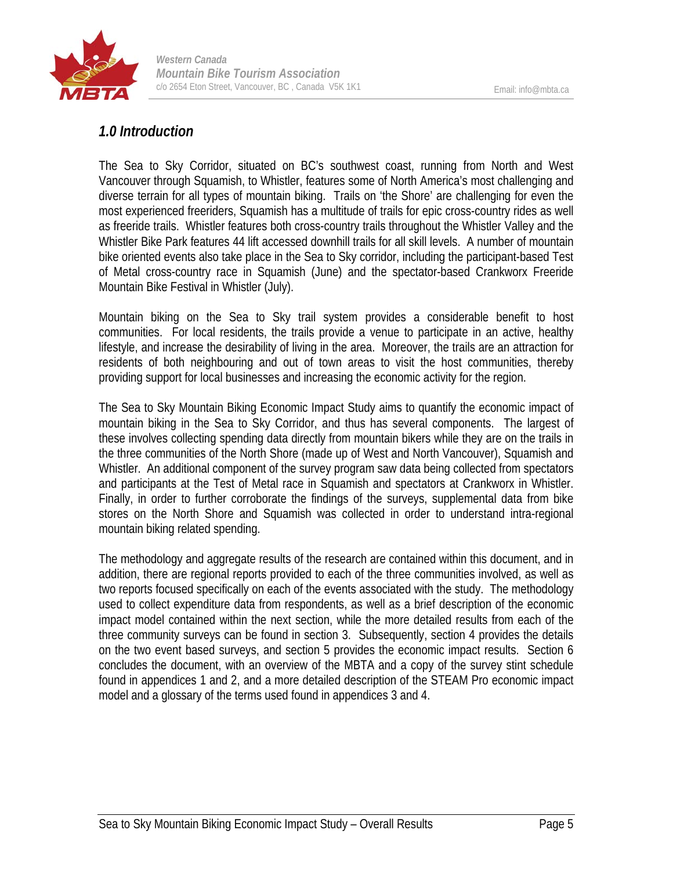

## *1.0 Introduction*

The Sea to Sky Corridor, situated on BC's southwest coast, running from North and West Vancouver through Squamish, to Whistler, features some of North America's most challenging and diverse terrain for all types of mountain biking. Trails on 'the Shore' are challenging for even the most experienced freeriders, Squamish has a multitude of trails for epic cross-country rides as well as freeride trails. Whistler features both cross-country trails throughout the Whistler Valley and the Whistler Bike Park features 44 lift accessed downhill trails for all skill levels. A number of mountain bike oriented events also take place in the Sea to Sky corridor, including the participant-based Test of Metal cross-country race in Squamish (June) and the spectator-based Crankworx Freeride Mountain Bike Festival in Whistler (July).

Mountain biking on the Sea to Sky trail system provides a considerable benefit to host communities. For local residents, the trails provide a venue to participate in an active, healthy lifestyle, and increase the desirability of living in the area. Moreover, the trails are an attraction for residents of both neighbouring and out of town areas to visit the host communities, thereby providing support for local businesses and increasing the economic activity for the region.

The Sea to Sky Mountain Biking Economic Impact Study aims to quantify the economic impact of mountain biking in the Sea to Sky Corridor, and thus has several components. The largest of these involves collecting spending data directly from mountain bikers while they are on the trails in the three communities of the North Shore (made up of West and North Vancouver), Squamish and Whistler. An additional component of the survey program saw data being collected from spectators and participants at the Test of Metal race in Squamish and spectators at Crankworx in Whistler. Finally, in order to further corroborate the findings of the surveys, supplemental data from bike stores on the North Shore and Squamish was collected in order to understand intra-regional mountain biking related spending.

The methodology and aggregate results of the research are contained within this document, and in addition, there are regional reports provided to each of the three communities involved, as well as two reports focused specifically on each of the events associated with the study. The methodology used to collect expenditure data from respondents, as well as a brief description of the economic impact model contained within the next section, while the more detailed results from each of the three community surveys can be found in section 3. Subsequently, section 4 provides the details on the two event based surveys, and section 5 provides the economic impact results. Section 6 concludes the document, with an overview of the MBTA and a copy of the survey stint schedule found in appendices 1 and 2, and a more detailed description of the STEAM Pro economic impact model and a glossary of the terms used found in appendices 3 and 4.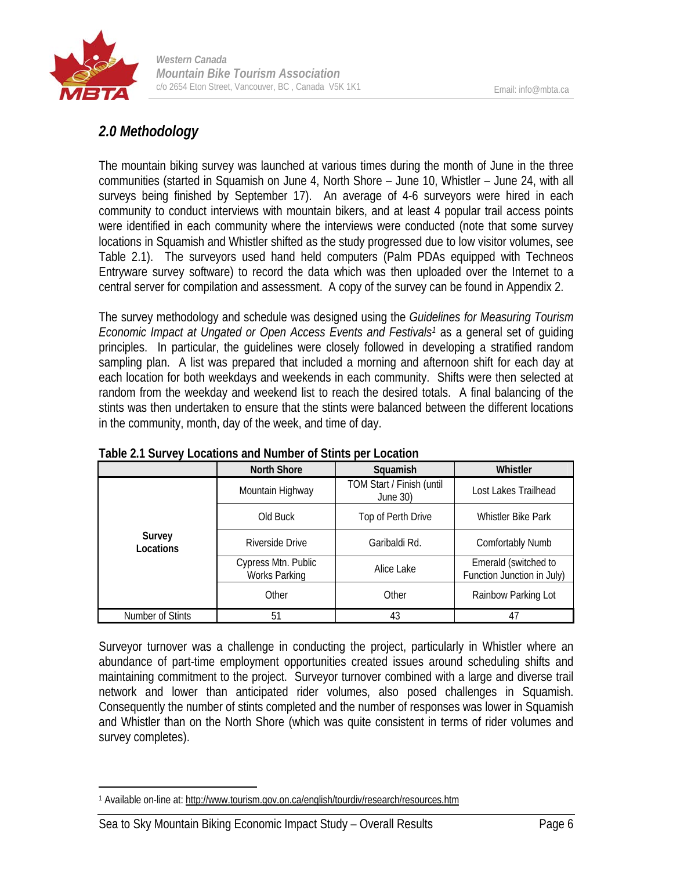

## *2.0 Methodology*

The mountain biking survey was launched at various times during the month of June in the three communities (started in Squamish on June 4, North Shore – June 10, Whistler – June 24, with all surveys being finished by September 17). An average of 4-6 surveyors were hired in each community to conduct interviews with mountain bikers, and at least 4 popular trail access points were identified in each community where the interviews were conducted (note that some survey locations in Squamish and Whistler shifted as the study progressed due to low visitor volumes, see Table 2.1). The surveyors used hand held computers (Palm PDAs equipped with Techneos Entryware survey software) to record the data which was then uploaded over the Internet to a central server for compilation and assessment. A copy of the survey can be found in Appendix 2.

The survey methodology and schedule was designed using the *Guidelines for Measuring Tourism Economic Impact at Ungated or Open Access Events and Festivals<sup>1</sup>* as a general set of quiding principles. In particular, the guidelines were closely followed in developing a stratified random sampling plan. A list was prepared that included a morning and afternoon shift for each day at each location for both weekdays and weekends in each community. Shifts were then selected at random from the weekday and weekend list to reach the desired totals. A final balancing of the stints was then undertaken to ensure that the stints were balanced between the different locations in the community, month, day of the week, and time of day.

|                     | <b>North Shore</b>                          | Squamish                              | Whistler                                           |
|---------------------|---------------------------------------------|---------------------------------------|----------------------------------------------------|
|                     | Mountain Highway                            | TOM Start / Finish (until<br>June 30) | Lost Lakes Trailhead                               |
|                     | Old Buck                                    | Top of Perth Drive                    | <b>Whistler Bike Park</b>                          |
| Survey<br>Locations | Riverside Drive                             | Garibaldi Rd.                         | <b>Comfortably Numb</b>                            |
|                     | Cypress Mtn. Public<br><b>Works Parking</b> | Alice Lake                            | Emerald (switched to<br>Function Junction in July) |
|                     | Other                                       | Other                                 | Rainbow Parking Lot                                |
| Number of Stints    | 51                                          | 43                                    | 47                                                 |

**Table 2.1 Survey Locations and Number of Stints per Location** 

Surveyor turnover was a challenge in conducting the project, particularly in Whistler where an abundance of part-time employment opportunities created issues around scheduling shifts and maintaining commitment to the project. Surveyor turnover combined with a large and diverse trail network and lower than anticipated rider volumes, also posed challenges in Squamish. Consequently the number of stints completed and the number of responses was lower in Squamish and Whistler than on the North Shore (which was quite consistent in terms of rider volumes and survey completes).

<sup>1</sup> 1 Available on-line at: http://www.tourism.gov.on.ca/english/tourdiv/research/resources.htm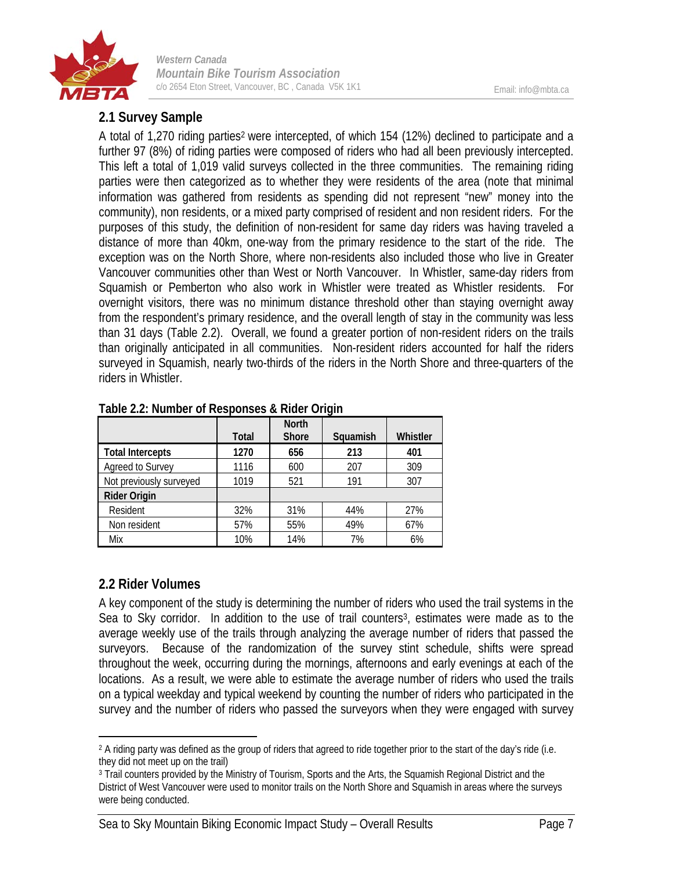

## **2.1 Survey Sample**

A total of 1,270 riding parties<sup>2</sup> were intercepted, of which 154 (12%) declined to participate and a further 97 (8%) of riding parties were composed of riders who had all been previously intercepted. This left a total of 1,019 valid surveys collected in the three communities. The remaining riding parties were then categorized as to whether they were residents of the area (note that minimal information was gathered from residents as spending did not represent "new" money into the community), non residents, or a mixed party comprised of resident and non resident riders. For the purposes of this study, the definition of non-resident for same day riders was having traveled a distance of more than 40km, one-way from the primary residence to the start of the ride. The exception was on the North Shore, where non-residents also included those who live in Greater Vancouver communities other than West or North Vancouver. In Whistler, same-day riders from Squamish or Pemberton who also work in Whistler were treated as Whistler residents. For overnight visitors, there was no minimum distance threshold other than staying overnight away from the respondent's primary residence, and the overall length of stay in the community was less than 31 days (Table 2.2). Overall, we found a greater portion of non-resident riders on the trails than originally anticipated in all communities. Non-resident riders accounted for half the riders surveyed in Squamish, nearly two-thirds of the riders in the North Shore and three-quarters of the riders in Whistler.

|                         | <b>Total</b> | <b>North</b><br><b>Shore</b> | Squamish | Whistler |
|-------------------------|--------------|------------------------------|----------|----------|
| <b>Total Intercepts</b> | 1270         | 656                          | 213      | 401      |
| Agreed to Survey        | 1116         | 600                          | 207      | 309      |
| Not previously surveyed | 1019         | 521                          | 191      | 307      |
| Rider Origin            |              |                              |          |          |
| Resident                | 32%          | 31%                          | 44%      | 27%      |
| Non resident            | 57%          | 55%                          | 49%      | 67%      |
| Mix                     | 10%          | 14%                          | 7%       | 6%       |

**Table 2.2: Number of Responses & Rider Origin** 

#### **2.2 Rider Volumes**

 $\overline{a}$ 

A key component of the study is determining the number of riders who used the trail systems in the Sea to Sky corridor. In addition to the use of trail counters<sup>3</sup>, estimates were made as to the average weekly use of the trails through analyzing the average number of riders that passed the surveyors. Because of the randomization of the survey stint schedule, shifts were spread throughout the week, occurring during the mornings, afternoons and early evenings at each of the locations. As a result, we were able to estimate the average number of riders who used the trails on a typical weekday and typical weekend by counting the number of riders who participated in the survey and the number of riders who passed the surveyors when they were engaged with survey

<sup>&</sup>lt;sup>2</sup> A riding party was defined as the group of riders that agreed to ride together prior to the start of the day's ride (i.e. they did not meet up on the trail)

<sup>&</sup>lt;sup>3</sup> Trail counters provided by the Ministry of Tourism, Sports and the Arts, the Squamish Regional District and the District of West Vancouver were used to monitor trails on the North Shore and Squamish in areas where the surveys were being conducted.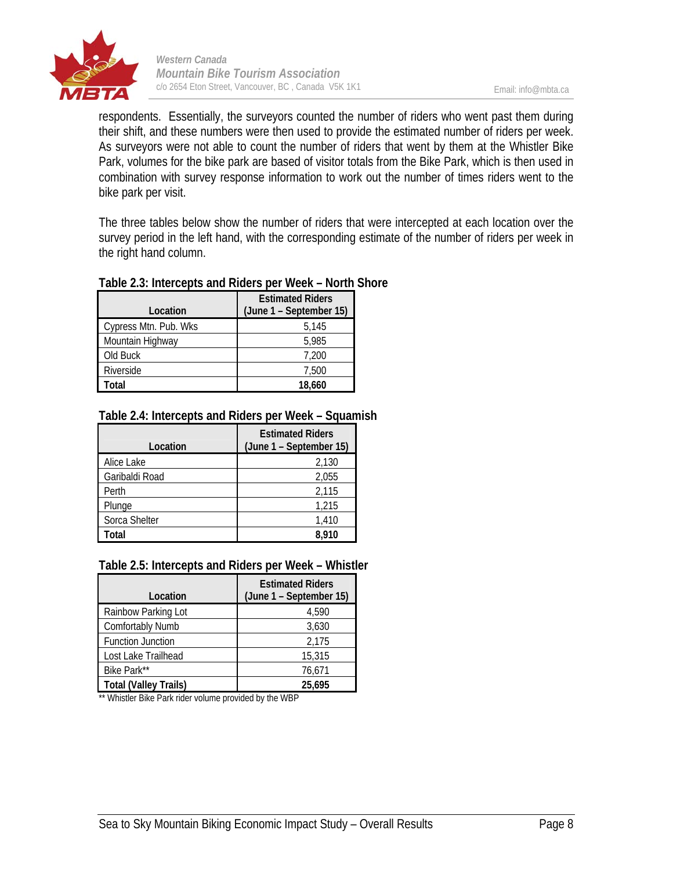

respondents. Essentially, the surveyors counted the number of riders who went past them during their shift, and these numbers were then used to provide the estimated number of riders per week. As surveyors were not able to count the number of riders that went by them at the Whistler Bike Park, volumes for the bike park are based of visitor totals from the Bike Park, which is then used in combination with survey response information to work out the number of times riders went to the bike park per visit.

The three tables below show the number of riders that were intercepted at each location over the survey period in the left hand, with the corresponding estimate of the number of riders per week in the right hand column.

| Location              | <b>Estimated Riders</b><br>(June 1 – September 15) |
|-----------------------|----------------------------------------------------|
| Cypress Mtn. Pub. Wks | 5,145                                              |
| Mountain Highway      | 5,985                                              |
| Old Buck              | 7,200                                              |
| Riverside             | 7,500                                              |
| Total                 | 18,660                                             |

#### **Table 2.3: Intercepts and Riders per Week – North Shore**

#### **Table 2.4: Intercepts and Riders per Week – Squamish**

| Location       | <b>Estimated Riders</b><br>(June 1 - September 15) |
|----------------|----------------------------------------------------|
| Alice Lake     | 2,130                                              |
| Garibaldi Road | 2,055                                              |
| Perth          | 2,115                                              |
| Plunge         | 1,215                                              |
| Sorca Shelter  | 1,410                                              |
| Total          | 8.910                                              |

#### **Table 2.5: Intercepts and Riders per Week – Whistler**

| Location                     | <b>Estimated Riders</b><br>(June 1 – September 15) |
|------------------------------|----------------------------------------------------|
| Rainbow Parking Lot          | 4,590                                              |
| <b>Comfortably Numb</b>      | 3,630                                              |
| <b>Function Junction</b>     | 2,175                                              |
| Lost Lake Trailhead          | 15,315                                             |
| Bike Park**                  | 76.671                                             |
| <b>Total (Valley Trails)</b> | 25.695                                             |

\*\* Whistler Bike Park rider volume provided by the WBP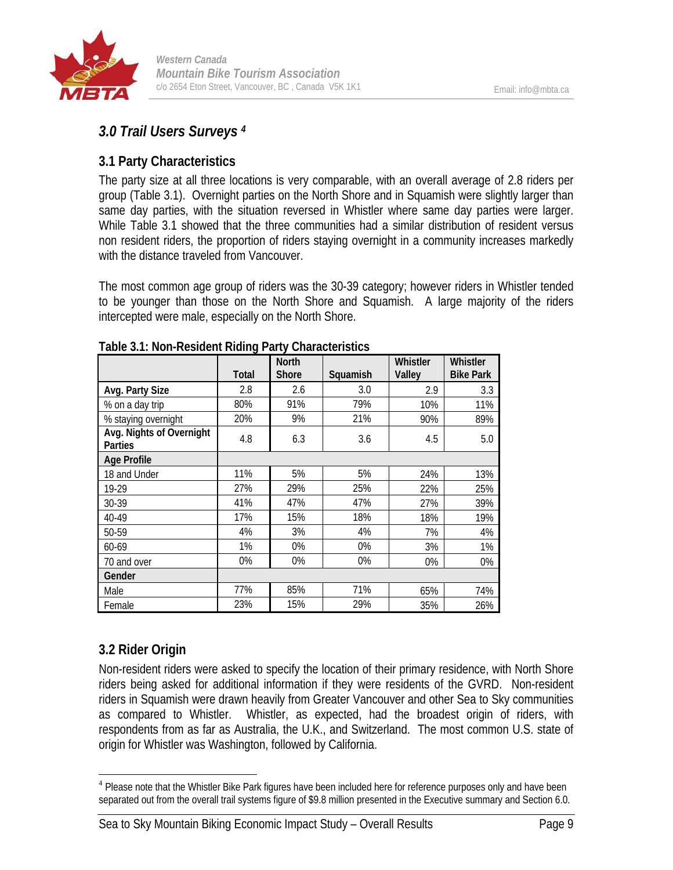

## *3.0 Trail Users Surveys 4*

## **3.1 Party Characteristics**

The party size at all three locations is very comparable, with an overall average of 2.8 riders per group (Table 3.1). Overnight parties on the North Shore and in Squamish were slightly larger than same day parties, with the situation reversed in Whistler where same day parties were larger. While Table 3.1 showed that the three communities had a similar distribution of resident versus non resident riders, the proportion of riders staying overnight in a community increases markedly with the distance traveled from Vancouver.

The most common age group of riders was the 30-39 category; however riders in Whistler tended to be younger than those on the North Shore and Squamish. A large majority of the riders intercepted were male, especially on the North Shore.

|                                     | <b>Total</b> | <b>North</b><br>Shore | Squamish | Whistler<br>Valley | Whistler<br><b>Bike Park</b> |
|-------------------------------------|--------------|-----------------------|----------|--------------------|------------------------------|
|                                     |              |                       |          |                    |                              |
| Avg. Party Size                     | 2.8          | 2.6                   | 3.0      | 2.9                | 3.3                          |
| % on a day trip                     | 80%          | 91%                   | 79%      | 10%                | 11%                          |
| % staying overnight                 | 20%          | 9%                    | 21%      | 90%                | 89%                          |
| Avg. Nights of Overnight<br>Parties | 4.8          | 6.3                   | 3.6      | 4.5                | 5.0                          |
| <b>Age Profile</b>                  |              |                       |          |                    |                              |
| 18 and Under                        | 11%          | 5%                    | 5%       | 24%                | 13%                          |
| 19-29                               | 27%          | 29%                   | 25%      | 22%                | 25%                          |
| 30-39                               | 41%          | 47%                   | 47%      | 27%                | 39%                          |
| 40-49                               | 17%          | 15%                   | 18%      | 18%                | 19%                          |
| 50-59                               | 4%           | 3%                    | 4%       | 7%                 | 4%                           |
| 60-69                               | 1%           | 0%                    | 0%       | 3%                 | 1%                           |
| 70 and over                         | 0%           | 0%                    | 0%       | 0%                 | 0%                           |
| Gender                              |              |                       |          |                    |                              |
| Male                                | 77%          | 85%                   | 71%      | 65%                | 74%                          |
| Female                              | 23%          | 15%                   | 29%      | 35%                | 26%                          |

#### **Table 3.1: Non-Resident Riding Party Characteristics**

## **3.2 Rider Origin**

Non-resident riders were asked to specify the location of their primary residence, with North Shore riders being asked for additional information if they were residents of the GVRD. Non-resident riders in Squamish were drawn heavily from Greater Vancouver and other Sea to Sky communities as compared to Whistler. Whistler, as expected, had the broadest origin of riders, with respondents from as far as Australia, the U.K., and Switzerland. The most common U.S. state of origin for Whistler was Washington, followed by California.

 $\overline{a}$ <sup>4</sup> Please note that the Whistler Bike Park figures have been included here for reference purposes only and have been separated out from the overall trail systems figure of \$9.8 million presented in the Executive summary and Section 6.0.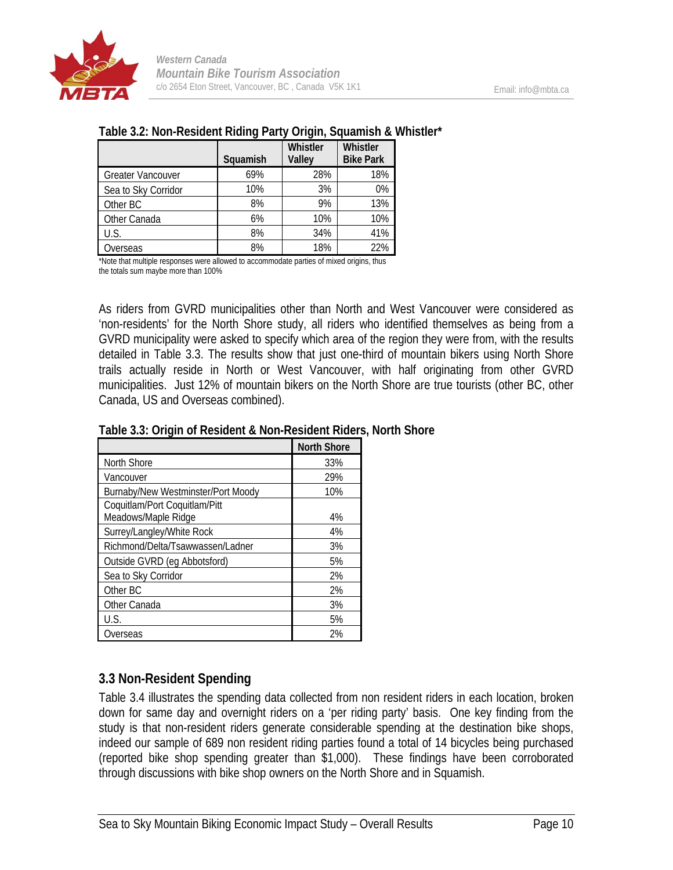

#### **Table 3.2: Non-Resident Riding Party Origin, Squamish & Whistler\***

|                          | Squamish | <b>Whistler</b><br>Valley | Whistler<br><b>Bike Park</b> |
|--------------------------|----------|---------------------------|------------------------------|
| <b>Greater Vancouver</b> | 69%      | 28%                       | 18%                          |
| Sea to Sky Corridor      | 10%      | 3%                        | 0%                           |
| Other BC                 | 8%       | 9%                        | 13%                          |
| Other Canada             | 6%       | 10%                       | 10%                          |
| U.S.                     | 8%       | 34%                       | 41%                          |
| Overseas                 | 8%       | 18%                       | 22%                          |

\*Note that multiple responses were allowed to accommodate parties of mixed origins, thus the totals sum maybe more than 100%

As riders from GVRD municipalities other than North and West Vancouver were considered as 'non-residents' for the North Shore study, all riders who identified themselves as being from a GVRD municipality were asked to specify which area of the region they were from, with the results detailed in Table 3.3. The results show that just one-third of mountain bikers using North Shore trails actually reside in North or West Vancouver, with half originating from other GVRD municipalities. Just 12% of mountain bikers on the North Shore are true tourists (other BC, other Canada, US and Overseas combined).

|                                                      | <b>North Shore</b> |
|------------------------------------------------------|--------------------|
| North Shore                                          | 33%                |
| Vancouver                                            | 29%                |
| Burnaby/New Westminster/Port Moody                   | 10%                |
| Coquitlam/Port Coquitlam/Pitt<br>Meadows/Maple Ridge | 4%                 |
| Surrey/Langley/White Rock                            | 4%                 |
| Richmond/Delta/Tsawwassen/Ladner                     | 3%                 |
| Outside GVRD (eg Abbotsford)                         | 5%                 |
| Sea to Sky Corridor                                  | 2%                 |
| Other BC                                             | 2%                 |
| Other Canada                                         | 3%                 |
| U.S.                                                 | 5%                 |
| Overseas                                             | 2%                 |

#### **Table 3.3: Origin of Resident & Non-Resident Riders, North Shore**

## **3.3 Non-Resident Spending**

Table 3.4 illustrates the spending data collected from non resident riders in each location, broken down for same day and overnight riders on a 'per riding party' basis. One key finding from the study is that non-resident riders generate considerable spending at the destination bike shops, indeed our sample of 689 non resident riding parties found a total of 14 bicycles being purchased (reported bike shop spending greater than \$1,000). These findings have been corroborated through discussions with bike shop owners on the North Shore and in Squamish.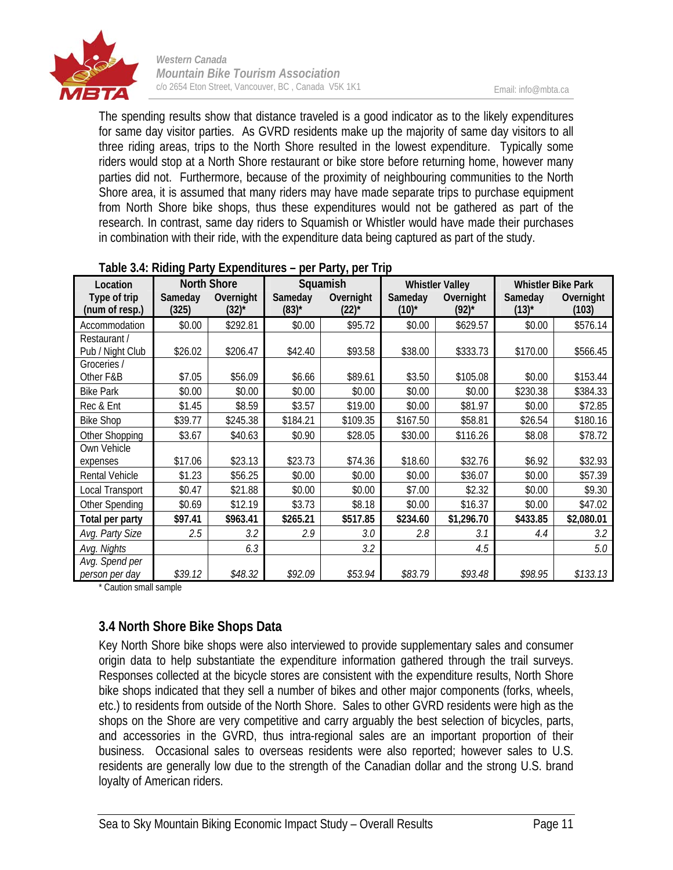

The spending results show that distance traveled is a good indicator as to the likely expenditures for same day visitor parties. As GVRD residents make up the majority of same day visitors to all three riding areas, trips to the North Shore resulted in the lowest expenditure. Typically some riders would stop at a North Shore restaurant or bike store before returning home, however many parties did not. Furthermore, because of the proximity of neighbouring communities to the North Shore area, it is assumed that many riders may have made separate trips to purchase equipment from North Shore bike shops, thus these expenditures would not be gathered as part of the research. In contrast, same day riders to Squamish or Whistler would have made their purchases in combination with their ride, with the expenditure data being captured as part of the study.

| Location                       | <b>North Shore</b> |                         | Squamish                       |                         | <b>Whistler Valley</b> |                         | <b>Whistler Bike Park</b> |                    |
|--------------------------------|--------------------|-------------------------|--------------------------------|-------------------------|------------------------|-------------------------|---------------------------|--------------------|
| Type of trip<br>(num of resp.) | Sameday<br>(325)   | Overnight<br>$(32)^{*}$ | Sameday<br>$(83)$ <sup>*</sup> | Overnight<br>$(22)^{*}$ | Sameday<br>$(10)^{*}$  | Overnight<br>$(92)^{*}$ | Sameday<br>$(13)^{*}$     | Overnight<br>(103) |
| Accommodation                  | \$0.00             | \$292.81                | \$0.00                         | \$95.72                 | \$0.00                 | \$629.57                | \$0.00                    | \$576.14           |
| Restaurant /                   |                    |                         |                                |                         |                        |                         |                           |                    |
| Pub / Night Club               | \$26.02            | \$206.47                | \$42.40                        | \$93.58                 | \$38.00                | \$333.73                | \$170.00                  | \$566.45           |
| Groceries /                    |                    |                         |                                |                         |                        |                         |                           |                    |
| Other F&B                      | \$7.05             | \$56.09                 | \$6.66                         | \$89.61                 | \$3.50                 | \$105.08                | \$0.00                    | \$153.44           |
| <b>Bike Park</b>               | \$0.00             | \$0.00                  | \$0.00                         | \$0.00                  | \$0.00                 | \$0.00                  | \$230.38                  | \$384.33           |
| Rec & Ent                      | \$1.45             | \$8.59                  | \$3.57                         | \$19.00                 | \$0.00                 | \$81.97                 | \$0.00                    | \$72.85            |
| <b>Bike Shop</b>               | \$39.77            | \$245.38                | \$184.21                       | \$109.35                | \$167.50               | \$58.81                 | \$26.54                   | \$180.16           |
| Other Shopping                 | \$3.67             | \$40.63                 | \$0.90                         | \$28.05                 | \$30.00                | \$116.26                | \$8.08                    | \$78.72            |
| Own Vehicle                    |                    |                         |                                |                         |                        |                         |                           |                    |
| expenses                       | \$17.06            | \$23.13                 | \$23.73                        | \$74.36                 | \$18.60                | \$32.76                 | \$6.92                    | \$32.93            |
| <b>Rental Vehicle</b>          | \$1.23             | \$56.25                 | \$0.00                         | \$0.00                  | \$0.00                 | \$36.07                 | \$0.00                    | \$57.39            |
| Local Transport                | \$0.47             | \$21.88                 | \$0.00                         | \$0.00                  | \$7.00                 | \$2.32                  | \$0.00                    | \$9.30             |
| Other Spending                 | \$0.69             | \$12.19                 | \$3.73                         | \$8.18                  | \$0.00                 | \$16.37                 | \$0.00                    | \$47.02            |
| Total per party                | \$97.41            | \$963.41                | \$265.21                       | \$517.85                | \$234.60               | \$1,296.70              | \$433.85                  | \$2,080.01         |
| Avg. Party Size                | 2.5                | 3.2                     | 2.9                            | 3.0                     | 2.8                    | 3.1                     | 4.4                       | 3.2                |
| Avg. Nights                    |                    | 6.3                     |                                | 3.2                     |                        | 4.5                     |                           | 5.0                |
| Avg. Spend per                 |                    |                         |                                |                         |                        |                         |                           |                    |
| person per day                 | \$39.12            | \$48.32                 | \$92.09                        | \$53.94                 | \$83.79                | \$93.48                 | \$98.95                   | \$133.13           |

#### **Table 3.4: Riding Party Expenditures – per Party, per Trip**

\* Caution small sample

## **3.4 North Shore Bike Shops Data**

Key North Shore bike shops were also interviewed to provide supplementary sales and consumer origin data to help substantiate the expenditure information gathered through the trail surveys. Responses collected at the bicycle stores are consistent with the expenditure results, North Shore bike shops indicated that they sell a number of bikes and other major components (forks, wheels, etc.) to residents from outside of the North Shore. Sales to other GVRD residents were high as the shops on the Shore are very competitive and carry arguably the best selection of bicycles, parts, and accessories in the GVRD, thus intra-regional sales are an important proportion of their business. Occasional sales to overseas residents were also reported; however sales to U.S. residents are generally low due to the strength of the Canadian dollar and the strong U.S. brand loyalty of American riders.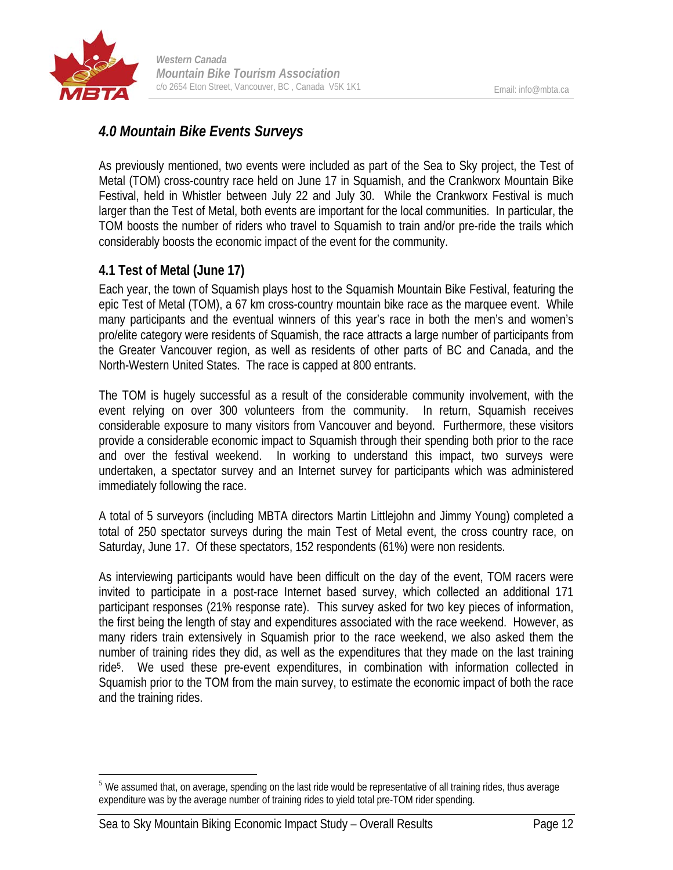

## *4.0 Mountain Bike Events Surveys*

As previously mentioned, two events were included as part of the Sea to Sky project, the Test of Metal (TOM) cross-country race held on June 17 in Squamish, and the Crankworx Mountain Bike Festival, held in Whistler between July 22 and July 30. While the Crankworx Festival is much larger than the Test of Metal, both events are important for the local communities. In particular, the TOM boosts the number of riders who travel to Squamish to train and/or pre-ride the trails which considerably boosts the economic impact of the event for the community.

## **4.1 Test of Metal (June 17)**

Each year, the town of Squamish plays host to the Squamish Mountain Bike Festival, featuring the epic Test of Metal (TOM), a 67 km cross-country mountain bike race as the marquee event. While many participants and the eventual winners of this year's race in both the men's and women's pro/elite category were residents of Squamish, the race attracts a large number of participants from the Greater Vancouver region, as well as residents of other parts of BC and Canada, and the North-Western United States. The race is capped at 800 entrants.

The TOM is hugely successful as a result of the considerable community involvement, with the event relying on over 300 volunteers from the community. In return, Squamish receives considerable exposure to many visitors from Vancouver and beyond. Furthermore, these visitors provide a considerable economic impact to Squamish through their spending both prior to the race and over the festival weekend. In working to understand this impact, two surveys were undertaken, a spectator survey and an Internet survey for participants which was administered immediately following the race.

A total of 5 surveyors (including MBTA directors Martin Littlejohn and Jimmy Young) completed a total of 250 spectator surveys during the main Test of Metal event, the cross country race, on Saturday, June 17. Of these spectators, 152 respondents (61%) were non residents.

As interviewing participants would have been difficult on the day of the event, TOM racers were invited to participate in a post-race Internet based survey, which collected an additional 171 participant responses (21% response rate). This survey asked for two key pieces of information, the first being the length of stay and expenditures associated with the race weekend. However, as many riders train extensively in Squamish prior to the race weekend, we also asked them the number of training rides they did, as well as the expenditures that they made on the last training ride5. We used these pre-event expenditures, in combination with information collected in Squamish prior to the TOM from the main survey, to estimate the economic impact of both the race and the training rides.

 $\overline{a}$  $<sup>5</sup>$  We assumed that, on average, spending on the last ride would be representative of all training rides, thus average</sup> expenditure was by the average number of training rides to yield total pre-TOM rider spending.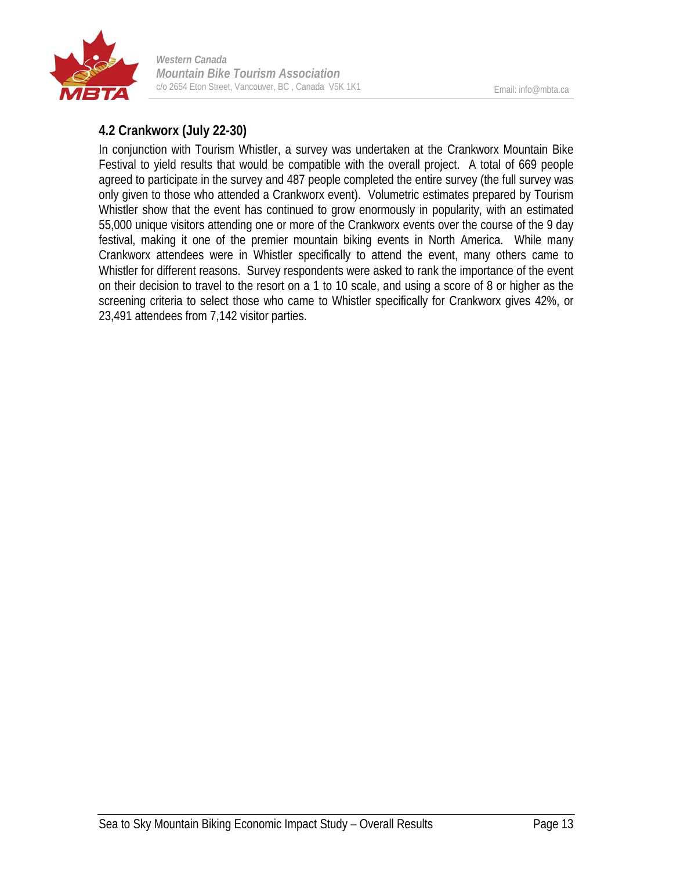

## **4.2 Crankworx (July 22-30)**

In conjunction with Tourism Whistler, a survey was undertaken at the Crankworx Mountain Bike Festival to yield results that would be compatible with the overall project. A total of 669 people agreed to participate in the survey and 487 people completed the entire survey (the full survey was only given to those who attended a Crankworx event). Volumetric estimates prepared by Tourism Whistler show that the event has continued to grow enormously in popularity, with an estimated 55,000 unique visitors attending one or more of the Crankworx events over the course of the 9 day festival, making it one of the premier mountain biking events in North America. While many Crankworx attendees were in Whistler specifically to attend the event, many others came to Whistler for different reasons. Survey respondents were asked to rank the importance of the event on their decision to travel to the resort on a 1 to 10 scale, and using a score of 8 or higher as the screening criteria to select those who came to Whistler specifically for Crankworx gives 42%, or 23,491 attendees from 7,142 visitor parties.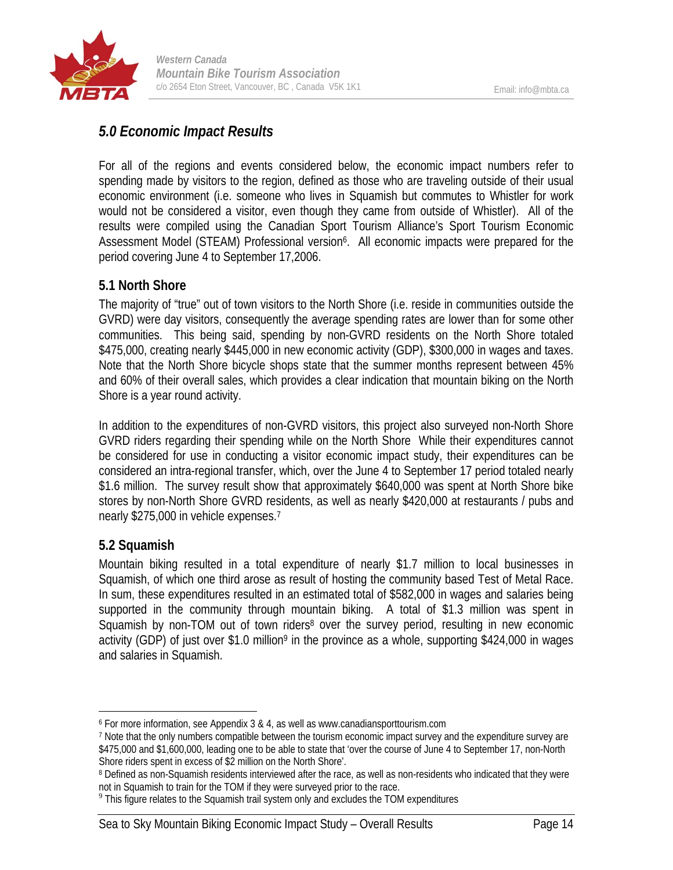

## *5.0 Economic Impact Results*

For all of the regions and events considered below, the economic impact numbers refer to spending made by visitors to the region, defined as those who are traveling outside of their usual economic environment (i.e. someone who lives in Squamish but commutes to Whistler for work would not be considered a visitor, even though they came from outside of Whistler). All of the results were compiled using the Canadian Sport Tourism Alliance's Sport Tourism Economic Assessment Model (STEAM) Professional version<sup>6</sup>. All economic impacts were prepared for the period covering June 4 to September 17,2006.

## **5.1 North Shore**

The majority of "true" out of town visitors to the North Shore (i.e. reside in communities outside the GVRD) were day visitors, consequently the average spending rates are lower than for some other communities. This being said, spending by non-GVRD residents on the North Shore totaled \$475,000, creating nearly \$445,000 in new economic activity (GDP), \$300,000 in wages and taxes. Note that the North Shore bicycle shops state that the summer months represent between 45% and 60% of their overall sales, which provides a clear indication that mountain biking on the North Shore is a year round activity.

In addition to the expenditures of non-GVRD visitors, this project also surveyed non-North Shore GVRD riders regarding their spending while on the North Shore While their expenditures cannot be considered for use in conducting a visitor economic impact study, their expenditures can be considered an intra-regional transfer, which, over the June 4 to September 17 period totaled nearly \$1.6 million. The survey result show that approximately \$640,000 was spent at North Shore bike stores by non-North Shore GVRD residents, as well as nearly \$420,000 at restaurants / pubs and nearly \$275,000 in vehicle expenses.7

## **5.2 Squamish**

1

Mountain biking resulted in a total expenditure of nearly \$1.7 million to local businesses in Squamish, of which one third arose as result of hosting the community based Test of Metal Race. In sum, these expenditures resulted in an estimated total of \$582,000 in wages and salaries being supported in the community through mountain biking. A total of \$1.3 million was spent in Squamish by non-TOM out of town riders<sup>8</sup> over the survey period, resulting in new economic activity (GDP) of just over \$1.0 million<sup>9</sup> in the province as a whole, supporting \$424,000 in wages and salaries in Squamish.

<sup>6</sup> For more information, see Appendix 3 & 4, as well as www.canadiansporttourism.com

<sup>7</sup> Note that the only numbers compatible between the tourism economic impact survey and the expenditure survey are \$475,000 and \$1,600,000, leading one to be able to state that 'over the course of June 4 to September 17, non-North Shore riders spent in excess of \$2 million on the North Shore'.

<sup>&</sup>lt;sup>8</sup> Defined as non-Squamish residents interviewed after the race, as well as non-residents who indicated that they were not in Squamish to train for the TOM if they were surveyed prior to the race.

<sup>&</sup>lt;sup>9</sup> This figure relates to the Squamish trail system only and excludes the TOM expenditures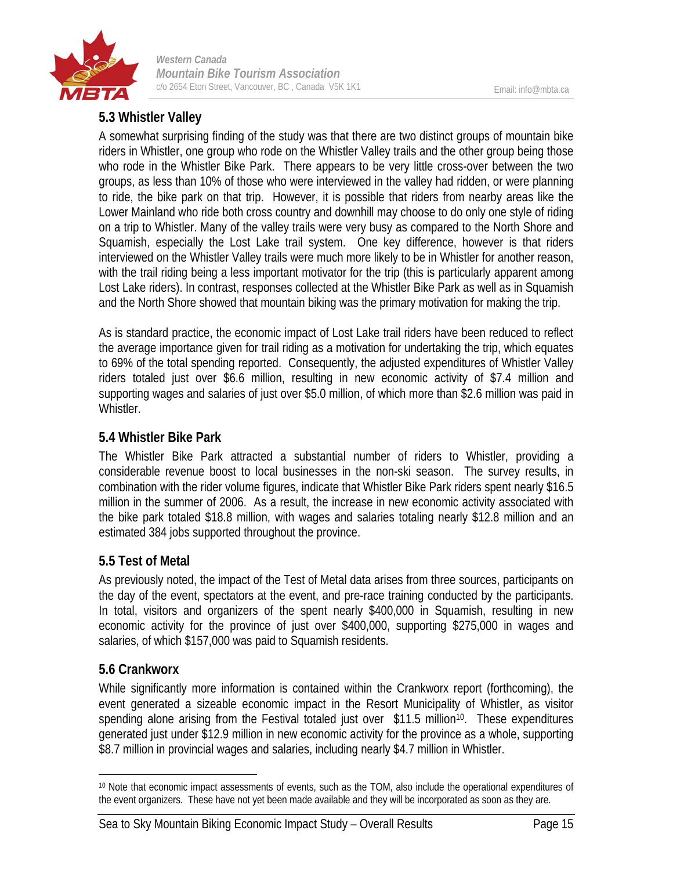

### **5.3 Whistler Valley**

A somewhat surprising finding of the study was that there are two distinct groups of mountain bike riders in Whistler, one group who rode on the Whistler Valley trails and the other group being those who rode in the Whistler Bike Park. There appears to be very little cross-over between the two groups, as less than 10% of those who were interviewed in the valley had ridden, or were planning to ride, the bike park on that trip. However, it is possible that riders from nearby areas like the Lower Mainland who ride both cross country and downhill may choose to do only one style of riding on a trip to Whistler. Many of the valley trails were very busy as compared to the North Shore and Squamish, especially the Lost Lake trail system. One key difference, however is that riders interviewed on the Whistler Valley trails were much more likely to be in Whistler for another reason, with the trail riding being a less important motivator for the trip (this is particularly apparent among Lost Lake riders). In contrast, responses collected at the Whistler Bike Park as well as in Squamish and the North Shore showed that mountain biking was the primary motivation for making the trip.

As is standard practice, the economic impact of Lost Lake trail riders have been reduced to reflect the average importance given for trail riding as a motivation for undertaking the trip, which equates to 69% of the total spending reported. Consequently, the adjusted expenditures of Whistler Valley riders totaled just over \$6.6 million, resulting in new economic activity of \$7.4 million and supporting wages and salaries of just over \$5.0 million, of which more than \$2.6 million was paid in Whistler.

#### **5.4 Whistler Bike Park**

The Whistler Bike Park attracted a substantial number of riders to Whistler, providing a considerable revenue boost to local businesses in the non-ski season. The survey results, in combination with the rider volume figures, indicate that Whistler Bike Park riders spent nearly \$16.5 million in the summer of 2006. As a result, the increase in new economic activity associated with the bike park totaled \$18.8 million, with wages and salaries totaling nearly \$12.8 million and an estimated 384 jobs supported throughout the province.

#### **5.5 Test of Metal**

As previously noted, the impact of the Test of Metal data arises from three sources, participants on the day of the event, spectators at the event, and pre-race training conducted by the participants. In total, visitors and organizers of the spent nearly \$400,000 in Squamish, resulting in new economic activity for the province of just over \$400,000, supporting \$275,000 in wages and salaries, of which \$157,000 was paid to Squamish residents.

#### **5.6 Crankworx**

While significantly more information is contained within the Crankworx report (forthcoming), the event generated a sizeable economic impact in the Resort Municipality of Whistler, as visitor spending alone arising from the Festival totaled just over \$11.5 million<sup>10</sup>. These expenditures generated just under \$12.9 million in new economic activity for the province as a whole, supporting \$8.7 million in provincial wages and salaries, including nearly \$4.7 million in Whistler.

 $\overline{a}$ 10 Note that economic impact assessments of events, such as the TOM, also include the operational expenditures of the event organizers. These have not yet been made available and they will be incorporated as soon as they are.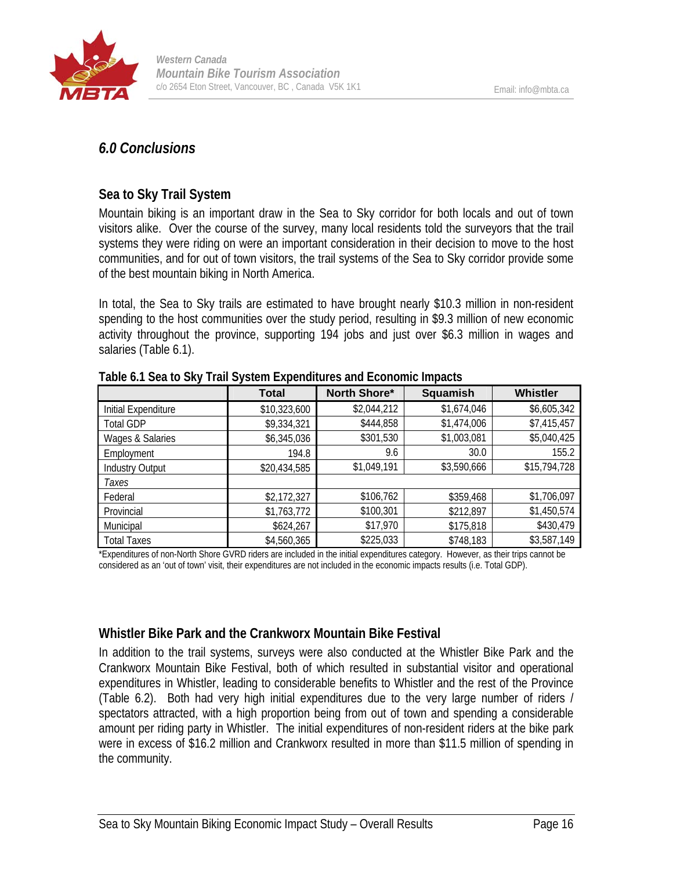

## *6.0 Conclusions*

## **Sea to Sky Trail System**

Mountain biking is an important draw in the Sea to Sky corridor for both locals and out of town visitors alike. Over the course of the survey, many local residents told the surveyors that the trail systems they were riding on were an important consideration in their decision to move to the host communities, and for out of town visitors, the trail systems of the Sea to Sky corridor provide some of the best mountain biking in North America.

In total, the Sea to Sky trails are estimated to have brought nearly \$10.3 million in non-resident spending to the host communities over the study period, resulting in \$9.3 million of new economic activity throughout the province, supporting 194 jobs and just over \$6.3 million in wages and salaries (Table 6.1).

|                        | <b>Total</b> | North Shore* | <b>Squamish</b> | <b>Whistler</b> |
|------------------------|--------------|--------------|-----------------|-----------------|
| Initial Expenditure    | \$10,323,600 | \$2,044,212  | \$1,674,046     | \$6,605,342     |
| <b>Total GDP</b>       | \$9,334,321  | \$444,858    | \$1,474,006     | \$7,415,457     |
| Wages & Salaries       | \$6,345,036  | \$301,530    | \$1,003,081     | \$5,040,425     |
| Employment             | 194.8        | 9.6          | 30.0            | 155.2           |
| <b>Industry Output</b> | \$20,434,585 | \$1,049,191  | \$3,590,666     | \$15,794,728    |
| Taxes                  |              |              |                 |                 |
| Federal                | \$2,172,327  | \$106,762    | \$359,468       | \$1,706,097     |
| Provincial             | \$1,763,772  | \$100,301    | \$212,897       | \$1,450,574     |
| Municipal              | \$624,267    | \$17,970     | \$175,818       | \$430,479       |
| <b>Total Taxes</b>     | \$4,560,365  | \$225,033    | \$748,183       | \$3,587,149     |

**Table 6.1 Sea to Sky Trail System Expenditures and Economic Impacts** 

\*Expenditures of non-North Shore GVRD riders are included in the initial expenditures category. However, as their trips cannot be considered as an 'out of town' visit, their expenditures are not included in the economic impacts results (i.e. Total GDP).

## **Whistler Bike Park and the Crankworx Mountain Bike Festival**

In addition to the trail systems, surveys were also conducted at the Whistler Bike Park and the Crankworx Mountain Bike Festival, both of which resulted in substantial visitor and operational expenditures in Whistler, leading to considerable benefits to Whistler and the rest of the Province (Table 6.2). Both had very high initial expenditures due to the very large number of riders / spectators attracted, with a high proportion being from out of town and spending a considerable amount per riding party in Whistler. The initial expenditures of non-resident riders at the bike park were in excess of \$16.2 million and Crankworx resulted in more than \$11.5 million of spending in the community.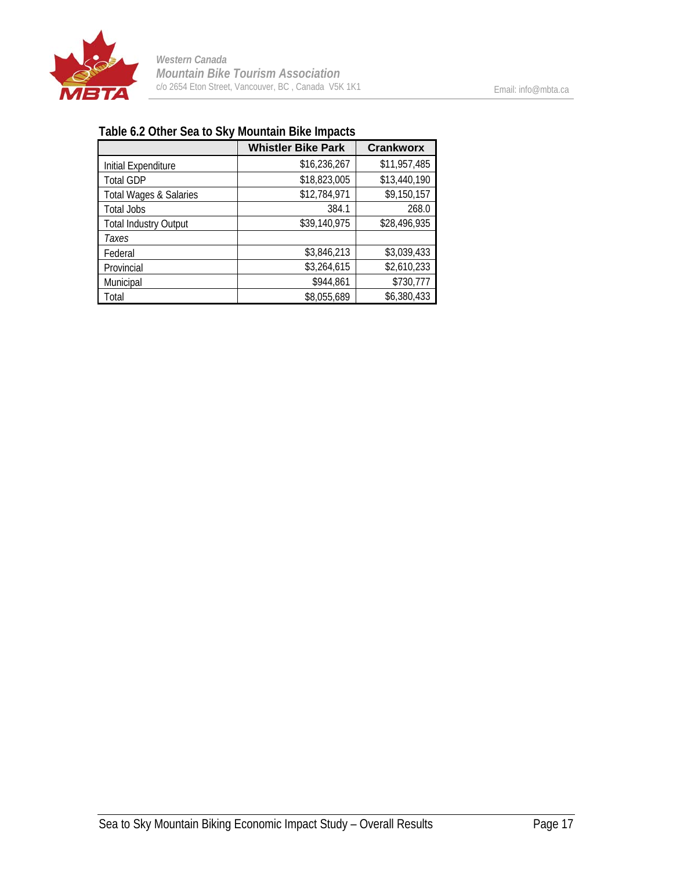

## **Table 6.2 Other Sea to Sky Mountain Bike Impacts**

|                              | <b>Whistler Bike Park</b> | <b>Crankworx</b> |
|------------------------------|---------------------------|------------------|
| Initial Expenditure          | \$16,236,267              | \$11,957,485     |
| <b>Total GDP</b>             | \$18,823,005              | \$13,440,190     |
| Total Wages & Salaries       | \$12,784,971              | \$9,150,157      |
| <b>Total Jobs</b>            | 384.1                     | 268.0            |
| <b>Total Industry Output</b> | \$39,140,975              | \$28,496,935     |
| Taxes                        |                           |                  |
| Federal                      | \$3,846,213               | \$3,039,433      |
| Provincial                   | \$3,264,615               | \$2,610,233      |
| Municipal                    | \$944,861                 | \$730,777        |
| Total                        | \$8,055,689               | \$6,380,433      |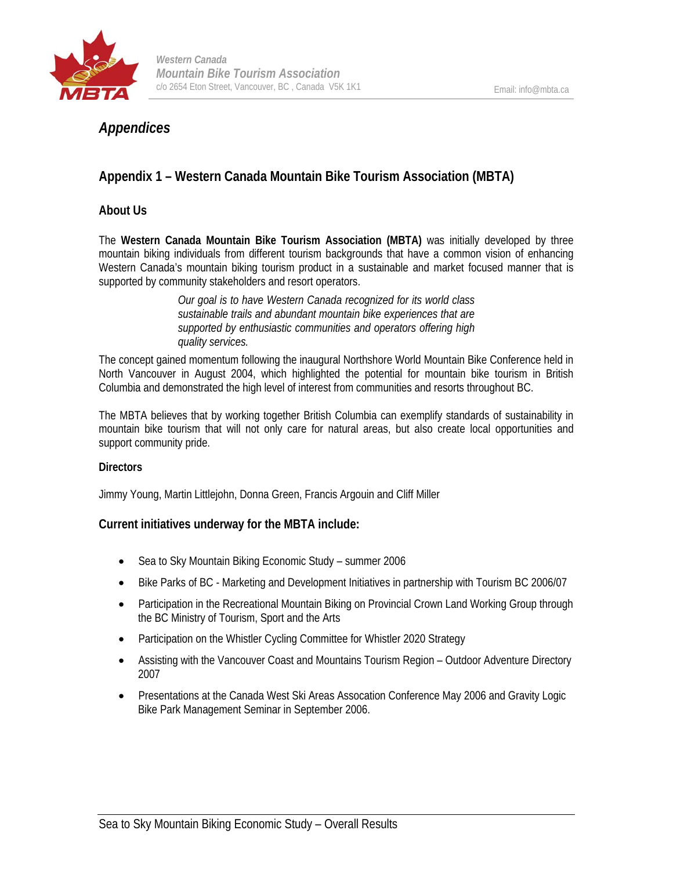

## *Appendices*

## **Appendix 1 – Western Canada Mountain Bike Tourism Association (MBTA)**

#### **About Us**

The **Western Canada Mountain Bike Tourism Association (MBTA)** was initially developed by three mountain biking individuals from different tourism backgrounds that have a common vision of enhancing Western Canada's mountain biking tourism product in a sustainable and market focused manner that is supported by community stakeholders and resort operators.

> *Our goal is to have Western Canada recognized for its world class sustainable trails and abundant mountain bike experiences that are supported by enthusiastic communities and operators offering high quality services.*

The concept gained momentum following the inaugural Northshore World Mountain Bike Conference held in North Vancouver in August 2004, which highlighted the potential for mountain bike tourism in British Columbia and demonstrated the high level of interest from communities and resorts throughout BC.

The MBTA believes that by working together British Columbia can exemplify standards of sustainability in mountain bike tourism that will not only care for natural areas, but also create local opportunities and support community pride.

#### **Directors**

Jimmy Young, Martin Littlejohn, Donna Green, Francis Argouin and Cliff Miller

#### **Current initiatives underway for the MBTA include:**

- Sea to Sky Mountain Biking Economic Study summer 2006
- Bike Parks of BC Marketing and Development Initiatives in partnership with Tourism BC 2006/07
- Participation in the Recreational Mountain Biking on Provincial Crown Land Working Group through the BC Ministry of Tourism, Sport and the Arts
- Participation on the Whistler Cycling Committee for Whistler 2020 Strategy
- Assisting with the Vancouver Coast and Mountains Tourism Region Outdoor Adventure Directory 2007
- Presentations at the Canada West Ski Areas Assocation Conference May 2006 and Gravity Logic Bike Park Management Seminar in September 2006.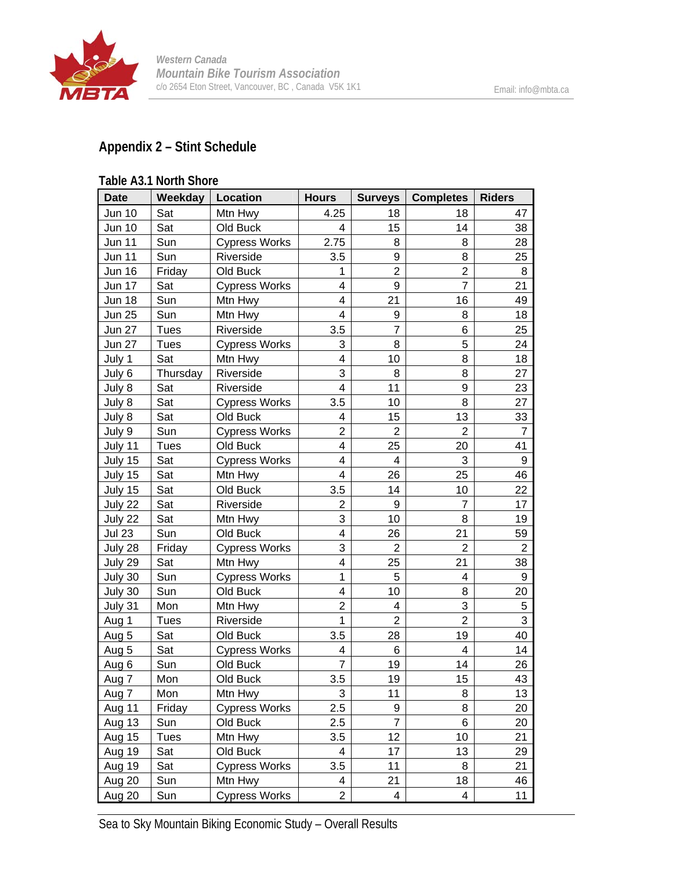

#### **Appendix 2 – Stint Schedule**

#### **Table A3.1 North Shore**  Date | Weekday | Location | Hours | Surveys | Completes | Riders Jun 10 | Sat | Mtn Hwy | 4.25 | 18 | 18 | 47 Jun 10 Sat Old Buck 4 15 14 38 Jun 11 Sun Cypress Works 2.75 8 8 28 Jun 11 Sun Riverside 3.5 9 8 25 Jun 16 Friday Old Buck 1 2 2 8 Jun 17 Sat Cypress Works 4 9 7 21 Jun 18 Sun Mtn Hwy 4 21 16 49 Jun 25 | Sun | Mtn Hwy | 4 | 9 | 8 | 18 Jun 27 Tues Riverside 3.5 7 6 25 Jun 27 | Tues | Cypress Works | 3 | 8 | 5 | 24 July 1 Sat Mtn Hwy 4 10 8 18 July 6 Thursday Riverside 3 8 8 27 July 8 Sat Riverside 4 11 9 23 July 8 Sat | Cypress Works | 3.5 | 10 | 8 | 27 July 8 Sat | Old Buck | 4 | 15 | 13 | 33 July 9 Sun Cypress Works 2 2 2 2 2 July 11 Tues Old Buck 4 25 20 41 July 15  $\vert$  Sat  $\vert$  Cypress Works  $\vert$  4 4 4 3 9 July 15 Sat Mtn Hwy 4 26 25 46 July 15 Sat Old Buck 3.5 14 10 22 July 22 Sat Riverside 2 9 7 17 July 22 | Sat | Mtn Hwy | 3 | 10 | 8 | 19 Jul 23 Sun Old Buck 4 26 21 59 July 28 | Friday | Cypress Works |  $\begin{array}{c|c} 3 & 2 & 2 \end{array}$  2 July 29 Sat Mtn Hwy 4 25 21 38 July 30 Sun Cypress Works | 1 | 5 | 4 | 9 July 30 Sun Old Buck 4 10 8 20 July 31 | Mon | Mtn Hwy | 2 | 4 | 3 | 5 Aug 1 | Tues | Riverside | 1 | 2 | 2 | 3 Aug 5 Sat | Old Buck | 3.5 | 28 | 19 | 40 Aug 5  $\vert$  Sat  $\vert$  Cypress Works  $\vert$  4 | 6 | 4 | 14 Aug 6 | Sun | Old Buck | 7 | 19 | 14 | 26 Aug 7 | Mon | Old Buck | 3.5 | 19 | 15 | 43 Aug 7 Mon Mtn Hwy 3 11 8 13 Aug 11 | Friday | Cypress Works |  $2.5$  |  $9$  |  $8$  |  $20$ Aug 13 Sun Old Buck 2.5 7 6 20 Aug 15 Tues Mtn Hwy 3.5 12 10 21 Aug 19 Sat Old Buck 4 17 13 29

Sea to Sky Mountain Biking Economic Study – Overall Results

Aug 19 | Sat | Cypress Works | 3.5 | 11 | 8 | 21 Aug 20 | Sun | Mtn Hwy | 4 | 21 | 18 | 46 Aug 20  $\vert$  Sun  $\vert$  Cypress Works  $\vert$  2  $\vert$  4  $\vert$  4  $\vert$  11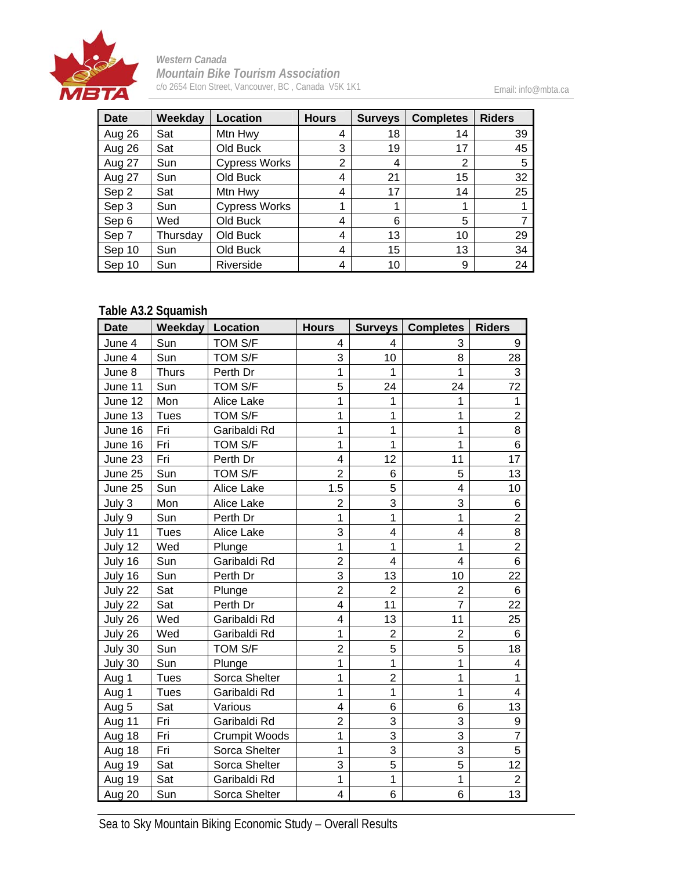

Email: info@mbta.ca

| <b>Date</b> | Weekday  | Location             | <b>Hours</b> | <b>Surveys</b> | <b>Completes</b> | <b>Riders</b> |
|-------------|----------|----------------------|--------------|----------------|------------------|---------------|
| Aug 26      | Sat      | Mtn Hwy              | 4            | 18             | 14               | 39            |
| Aug 26      | Sat      | Old Buck             | 3            | 19             | 17               | 45            |
| Aug 27      | Sun      | <b>Cypress Works</b> | 2            | 4              | 2                | 5             |
| Aug 27      | Sun      | Old Buck             | 4            | 21             | 15               | 32            |
| Sep 2       | Sat      | Mtn Hwy              | 4            | 17             | 14               | 25            |
| Sep 3       | Sun      | <b>Cypress Works</b> | 1            |                |                  |               |
| Sep 6       | Wed      | Old Buck             | 4            | 6              | 5                |               |
| Sep 7       | Thursday | Old Buck             | 4            | 13             | 10               | 29            |
| Sep 10      | Sun      | Old Buck             | 4            | 15             | 13               | 34            |
| Sep 10      | Sun      | Riverside            | 4            | 10             | 9                | 24            |

### **Table A3.2 Squamish**

| <b>Date</b> | <b>Weekday</b> | Location      | <b>Hours</b>            |                | <b>Surveys   Completes</b> | <b>Riders</b>  |
|-------------|----------------|---------------|-------------------------|----------------|----------------------------|----------------|
| June 4      | Sun            | TOM S/F       | 4                       | 4              | 3                          | 9              |
| June 4      | Sun            | TOM S/F       | 3                       | 10             | 8                          | 28             |
| June 8      | <b>Thurs</b>   | Perth Dr      | $\overline{1}$          | 1              | 1                          | 3              |
| June 11     | Sun            | TOM S/F       | 5                       | 24             | 24                         | 72             |
| June 12     | Mon            | Alice Lake    | 1                       | 1              | 1                          | $\mathbf{1}$   |
| June 13     | <b>Tues</b>    | TOM S/F       | 1                       | 1              | 1                          | $\overline{2}$ |
| June 16     | Fri            | Garibaldi Rd  | 1                       | 1              | 1                          | 8              |
| June 16     | Fri            | TOM S/F       | 1                       | 1              | 1                          | 6              |
| June 23     | Fri            | Perth Dr      | 4                       | 12             | 11                         | 17             |
| June 25     | Sun            | TOM S/F       | $\overline{2}$          | 6              | 5                          | 13             |
| June 25     | Sun            | Alice Lake    | 1.5                     | 5              | 4                          | 10             |
| July 3      | Mon            | Alice Lake    | $\overline{2}$          | 3              | 3                          | 6              |
| July 9      | Sun            | Perth Dr      | 1                       | 1              | 1                          | $\overline{2}$ |
| July 11     | <b>Tues</b>    | Alice Lake    | 3                       | 4              | 4                          | 8              |
| July 12     | Wed            | Plunge        | 1                       | 1              | 1                          | $\overline{2}$ |
| July 16     | Sun            | Garibaldi Rd  | $\overline{c}$          | 4              | $\overline{4}$             | 6              |
| July 16     | Sun            | Perth Dr      | 3                       | 13             | 10                         | 22             |
| July 22     | Sat            | Plunge        | $\overline{2}$          | $\overline{2}$ | $\overline{2}$             | 6              |
| July 22     | Sat            | Perth Dr      | $\overline{\mathbf{4}}$ | 11             | $\overline{7}$             | 22             |
| July 26     | Wed            | Garibaldi Rd  | $\overline{\mathbf{4}}$ | 13             | 11                         | 25             |
| July 26     | Wed            | Garibaldi Rd  | $\mathbf{1}$            | $\overline{2}$ | $\overline{2}$             | 6              |
| July 30     | Sun            | TOM S/F       | $\overline{2}$          | 5              | 5                          | 18             |
| July 30     | Sun            | Plunge        | 1                       | 1              | 1                          | 4              |
| Aug 1       | <b>Tues</b>    | Sorca Shelter | 1                       | $\overline{2}$ | 1                          | $\mathbf{1}$   |
| Aug 1       | <b>Tues</b>    | Garibaldi Rd  | 1                       | 1              | 1                          | 4              |
| Aug $5$     | Sat            | Various       | 4                       | 6              | 6                          | 13             |
| Aug 11      | Fri            | Garibaldi Rd  | $\overline{2}$          | 3              | 3                          | 9              |
| Aug 18      | Fri            | Crumpit Woods | 1                       | 3              | 3                          | $\overline{7}$ |
| Aug 18      | Fri            | Sorca Shelter | 1                       | 3              | 3                          | 5              |
| Aug 19      | Sat            | Sorca Shelter | 3                       | 5              | 5                          | 12             |
| Aug 19      | Sat            | Garibaldi Rd  | $\mathbf{1}$            | $\mathbf{1}$   | $\mathbf{1}$               | $\overline{2}$ |
| Aug 20      | Sun            | Sorca Shelter | 4                       | 6              | 6                          | 13             |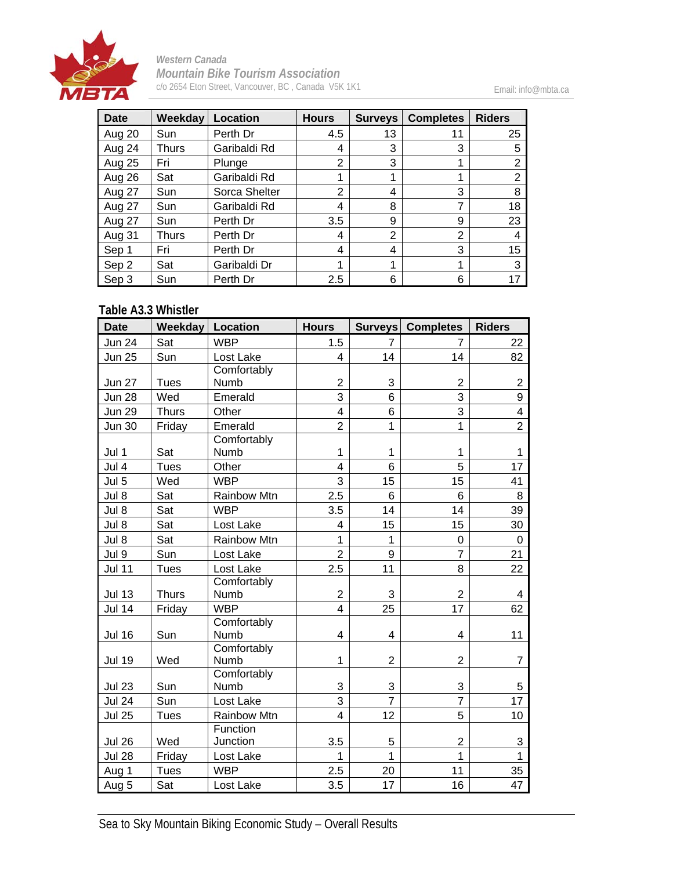

Email: info@mbta.ca

| <b>Date</b>   | Weekday      | Location      | <b>Hours</b>   | <b>Surveys</b> | <b>Completes</b> | <b>Riders</b> |
|---------------|--------------|---------------|----------------|----------------|------------------|---------------|
| Aug 20        | Sun          | Perth Dr      | 4.5            | 13             | 11               | 25            |
| Aug 24        | Thurs        | Garibaldi Rd  | 4              | 3              | 3                | 5             |
| <b>Aug 25</b> | Fri          | Plunge        | 2              | 3              |                  | 2             |
| Aug 26        | Sat          | Garibaldi Rd  |                |                |                  | 2             |
| Aug 27        | Sun          | Sorca Shelter | $\overline{2}$ | 4              | 3                | 8             |
| Aug 27        | Sun          | Garibaldi Rd  | 4              | 8              | 7                | 18            |
| Aug 27        | Sun          | Perth Dr      | 3.5            | 9              | 9                | 23            |
| Aug 31        | <b>Thurs</b> | Perth Dr      | 4              | $\overline{2}$ | 2                |               |
| Sep 1         | Fri          | Perth Dr      | 4              | 4              | 3                | 15            |
| Sep 2         | Sat          | Garibaldi Dr  |                | 1              |                  | 3             |
| Sep 3         | Sun          | Perth Dr      | 2.5            | 6              | 6                | 17            |

#### **Table A3.3 Whistler**

| <b>Date</b>   | <b>Weekday</b> | Location            | <b>Hours</b>            |                | Surveys Completes | <b>Riders</b>           |
|---------------|----------------|---------------------|-------------------------|----------------|-------------------|-------------------------|
| <b>Jun 24</b> | Sat            | <b>WBP</b>          | 1.5                     | $\overline{7}$ | 7                 | 22                      |
| <b>Jun 25</b> | Sun            | Lost Lake           | 4                       | 14             | 14                | 82                      |
|               |                | Comfortably         |                         |                |                   |                         |
| <b>Jun 27</b> | <b>Tues</b>    | Numb                | $\overline{2}$          | 3              | $\overline{2}$    | $\overline{2}$          |
| <b>Jun 28</b> | Wed            | Emerald             | 3                       | 6              | 3                 | 9                       |
| <b>Jun 29</b> | <b>Thurs</b>   | Other               | 4                       | 6              | 3                 | $\overline{\mathbf{4}}$ |
| <b>Jun 30</b> | Friday         | Emerald             | $\overline{2}$          | $\mathbf 1$    | $\mathbf 1$       | $\overline{2}$          |
| Jul 1         | Sat            | Comfortably<br>Numb | 1                       | 1              | 1                 | 1                       |
| Jul 4         | <b>Tues</b>    | Other               | 4                       | 6              | 5                 | 17                      |
| Jul 5         | Wed            | <b>WBP</b>          | 3                       | 15             | 15                | 41                      |
| Jul 8         | Sat            | <b>Rainbow Mtn</b>  | 2.5                     | 6              | 6                 | 8                       |
| Jul 8         | Sat            | <b>WBP</b>          | 3.5                     | 14             | 14                | 39                      |
| Jul 8         | Sat            | Lost Lake           | 4                       | 15             | 15                | 30                      |
| Jul 8         | Sat            | Rainbow Mtn         | 1                       | 1              | $\mathbf 0$       | 0                       |
| Jul 9         | Sun            | Lost Lake           | $\overline{2}$          | 9              | $\overline{7}$    | 21                      |
| <b>Jul 11</b> | <b>Tues</b>    | Lost Lake           | 2.5                     | 11             | 8                 | 22                      |
|               |                | Comfortably         |                         |                |                   |                         |
| <b>Jul 13</b> | <b>Thurs</b>   | Numb                | $\overline{2}$          | 3              | $\overline{2}$    | 4                       |
| <b>Jul 14</b> | Friday         | <b>WBP</b>          | $\overline{\mathbf{4}}$ | 25             | 17                | 62                      |
| <b>Jul 16</b> | Sun            | Comfortably<br>Numb | 4                       | 4              | 4                 | 11                      |
| <b>Jul 19</b> | Wed            | Comfortably<br>Numb | 1                       | $\overline{2}$ | $\overline{2}$    | 7                       |
|               |                | Comfortably         |                         |                |                   |                         |
| <b>Jul 23</b> | Sun            | Numb                | 3                       | 3              | 3                 | 5                       |
| <b>Jul 24</b> | Sun            | Lost Lake           | $\overline{3}$          | $\overline{7}$ | $\overline{7}$    | 17                      |
| <b>Jul 25</b> | <b>Tues</b>    | Rainbow Mtn         | $\overline{4}$          | 12             | 5                 | 10                      |
|               |                | Function            |                         |                |                   |                         |
| <b>Jul 26</b> | Wed            | Junction            | 3.5                     | 5              | $\overline{2}$    | 3                       |
| <b>Jul 28</b> | Friday         | Lost Lake           | 1                       | 1              | 1                 | 1                       |
| Aug 1         | <b>Tues</b>    | <b>WBP</b>          | 2.5                     | 20             | 11                | 35                      |
| Aug 5         | Sat            | Lost Lake           | 3.5                     | 17             | 16                | 47                      |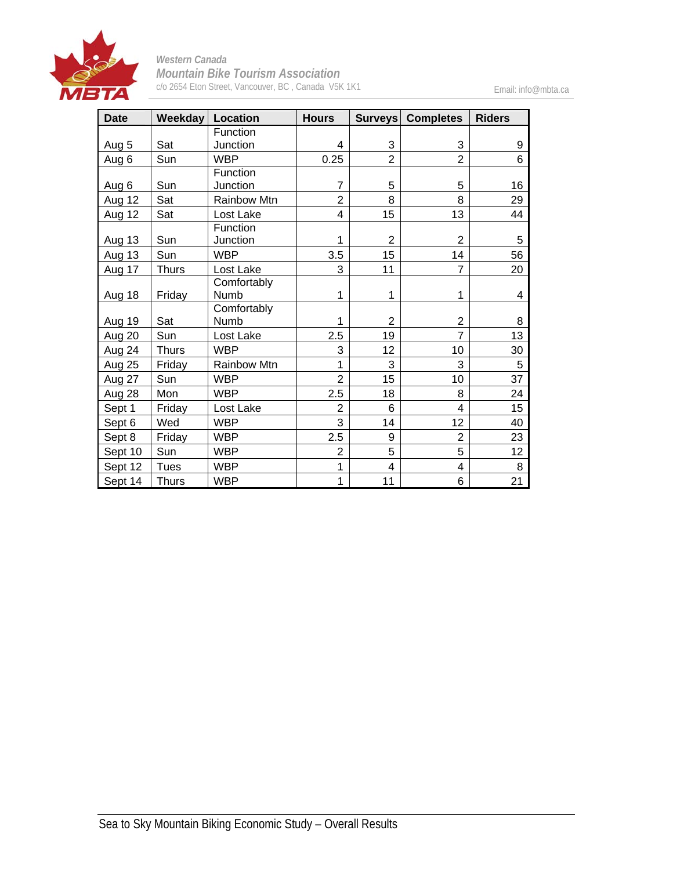

Email: info@mbta.ca

| <b>Date</b> |              | Weekday   Location | <b>Hours</b>   |                | Surveys Completes | <b>Riders</b> |
|-------------|--------------|--------------------|----------------|----------------|-------------------|---------------|
|             |              | Function           |                |                |                   |               |
| Aug 5       | Sat          | Junction           | 4              | 3              | 3                 | 9             |
| Aug 6       | Sun          | <b>WBP</b>         | 0.25           | $\overline{2}$ | $\overline{2}$    | 6             |
|             |              | Function           |                |                |                   |               |
| Aug 6       | Sun          | Junction           | $\overline{7}$ | 5              | 5                 | 16            |
| Aug 12      | Sat          | Rainbow Mtn        | $\overline{2}$ | 8              | 8                 | 29            |
| Aug 12      | Sat          | Lost Lake          | 4              | 15             | 13                | 44            |
|             |              | Function           |                |                |                   |               |
| Aug 13      | Sun          | Junction           | 1              | $\overline{c}$ | $\overline{2}$    | 5             |
| Aug 13      | Sun          | <b>WBP</b>         | 3.5            | 15             | 14                | 56            |
| Aug 17      | <b>Thurs</b> | Lost Lake          | 3              | 11             | $\overline{7}$    | 20            |
|             |              | Comfortably        |                |                |                   |               |
| Aug 18      | Friday       | Numb               | 1              | 1              | 1                 | 4             |
|             |              | Comfortably        |                |                |                   |               |
| Aug 19      | Sat          | Numb               | 1              | 2              | 2                 | 8             |
| Aug 20      | Sun          | Lost Lake          | 2.5            | 19             | $\overline{7}$    | 13            |
| Aug 24      | <b>Thurs</b> | <b>WBP</b>         | 3              | 12             | 10                | 30            |
| Aug 25      | Friday       | Rainbow Mtn        | 1              | 3              | 3                 | 5             |
| Aug 27      | Sun          | <b>WBP</b>         | $\overline{2}$ | 15             | 10                | 37            |
| Aug 28      | Mon          | <b>WBP</b>         | 2.5            | 18             | 8                 | 24            |
| Sept 1      | Friday       | Lost Lake          | $\overline{2}$ | 6              | 4                 | 15            |
| Sept 6      | Wed          | <b>WBP</b>         | 3              | 14             | 12                | 40            |
| Sept 8      | Friday       | <b>WBP</b>         | 2.5            | 9              | $\overline{2}$    | 23            |
| Sept 10     | Sun          | <b>WBP</b>         | $\overline{2}$ | 5              | 5                 | 12            |
| Sept 12     | <b>Tues</b>  | <b>WBP</b>         | 1              | $\overline{4}$ | $\overline{4}$    | 8             |
| Sept 14     | <b>Thurs</b> | <b>WBP</b>         | 1              | 11             | 6                 | 21            |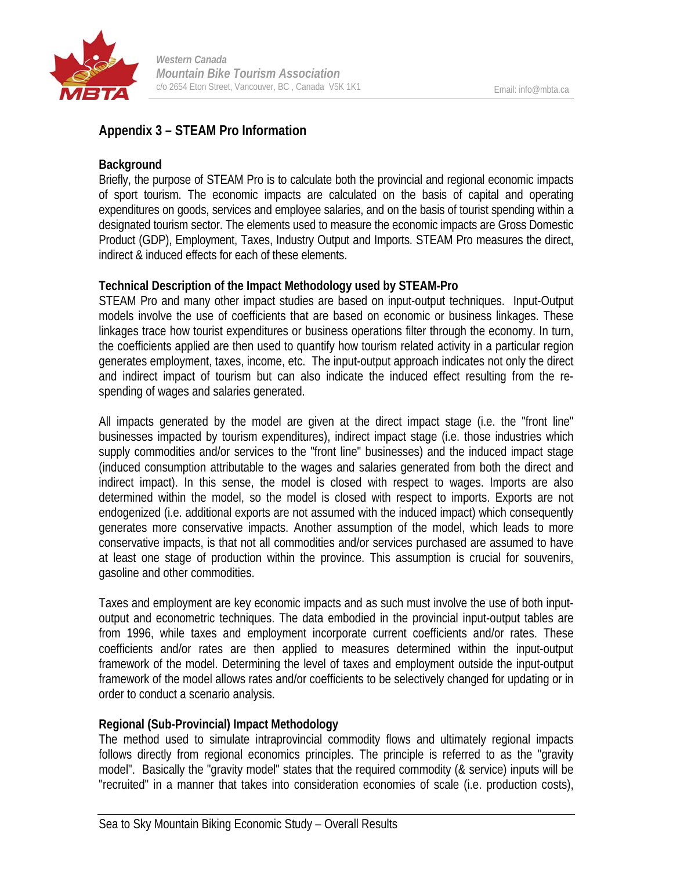

#### **Appendix 3 – STEAM Pro Information**

#### **Background**

Briefly, the purpose of STEAM Pro is to calculate both the provincial and regional economic impacts of sport tourism. The economic impacts are calculated on the basis of capital and operating expenditures on goods, services and employee salaries, and on the basis of tourist spending within a designated tourism sector. The elements used to measure the economic impacts are Gross Domestic Product (GDP), Employment, Taxes, Industry Output and Imports. STEAM Pro measures the direct, indirect & induced effects for each of these elements.

#### **Technical Description of the Impact Methodology used by STEAM-Pro**

STEAM Pro and many other impact studies are based on input-output techniques. Input-Output models involve the use of coefficients that are based on economic or business linkages. These linkages trace how tourist expenditures or business operations filter through the economy. In turn, the coefficients applied are then used to quantify how tourism related activity in a particular region generates employment, taxes, income, etc. The input-output approach indicates not only the direct and indirect impact of tourism but can also indicate the induced effect resulting from the respending of wages and salaries generated.

All impacts generated by the model are given at the direct impact stage (i.e. the "front line" businesses impacted by tourism expenditures), indirect impact stage (i.e. those industries which supply commodities and/or services to the "front line" businesses) and the induced impact stage (induced consumption attributable to the wages and salaries generated from both the direct and indirect impact). In this sense, the model is closed with respect to wages. Imports are also determined within the model, so the model is closed with respect to imports. Exports are not endogenized (i.e. additional exports are not assumed with the induced impact) which consequently generates more conservative impacts. Another assumption of the model, which leads to more conservative impacts, is that not all commodities and/or services purchased are assumed to have at least one stage of production within the province. This assumption is crucial for souvenirs, gasoline and other commodities.

Taxes and employment are key economic impacts and as such must involve the use of both inputoutput and econometric techniques. The data embodied in the provincial input-output tables are from 1996, while taxes and employment incorporate current coefficients and/or rates. These coefficients and/or rates are then applied to measures determined within the input-output framework of the model. Determining the level of taxes and employment outside the input-output framework of the model allows rates and/or coefficients to be selectively changed for updating or in order to conduct a scenario analysis.

#### **Regional (Sub-Provincial) Impact Methodology**

The method used to simulate intraprovincial commodity flows and ultimately regional impacts follows directly from regional economics principles. The principle is referred to as the "gravity model". Basically the "gravity model" states that the required commodity (& service) inputs will be "recruited" in a manner that takes into consideration economies of scale (i.e. production costs),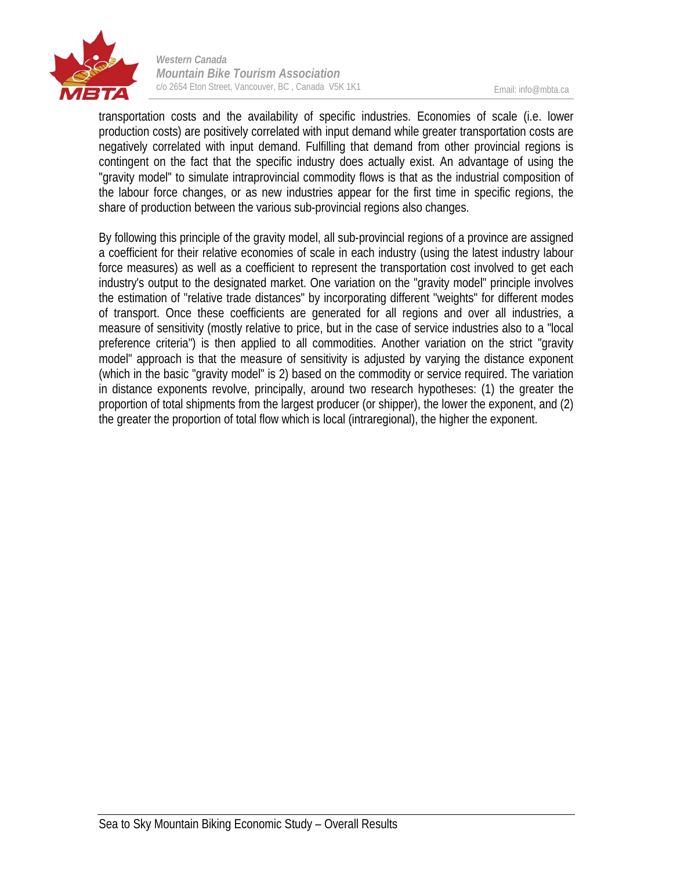

transportation costs and the availability of specific industries. Economies of scale (i.e. lower production costs) are positively correlated with input demand while greater transportation costs are negatively correlated with input demand. Fulfilling that demand from other provincial regions is contingent on the fact that the specific industry does actually exist. An advantage of using the "gravity model" to simulate intraprovincial commodity flows is that as the industrial composition of the labour force changes, or as new industries appear for the first time in specific regions, the share of production between the various sub-provincial regions also changes.

By following this principle of the gravity model, all sub-provincial regions of a province are assigned a coefficient for their relative economies of scale in each industry (using the latest industry labour force measures) as well as a coefficient to represent the transportation cost involved to get each industry's output to the designated market. One variation on the "gravity model" principle involves the estimation of "relative trade distances" by incorporating different "weights" for different modes of transport. Once these coefficients are generated for all regions and over all industries, a measure of sensitivity (mostly relative to price, but in the case of service industries also to a "local preference criteria") is then applied to all commodities. Another variation on the strict "gravity model" approach is that the measure of sensitivity is adjusted by varying the distance exponent (which in the basic "gravity model" is 2) based on the commodity or service required. The variation in distance exponents revolve, principally, around two research hypotheses: (1) the greater the proportion of total shipments from the largest producer (or shipper), the lower the exponent, and (2) the greater the proportion of total flow which is local (intraregional), the higher the exponent.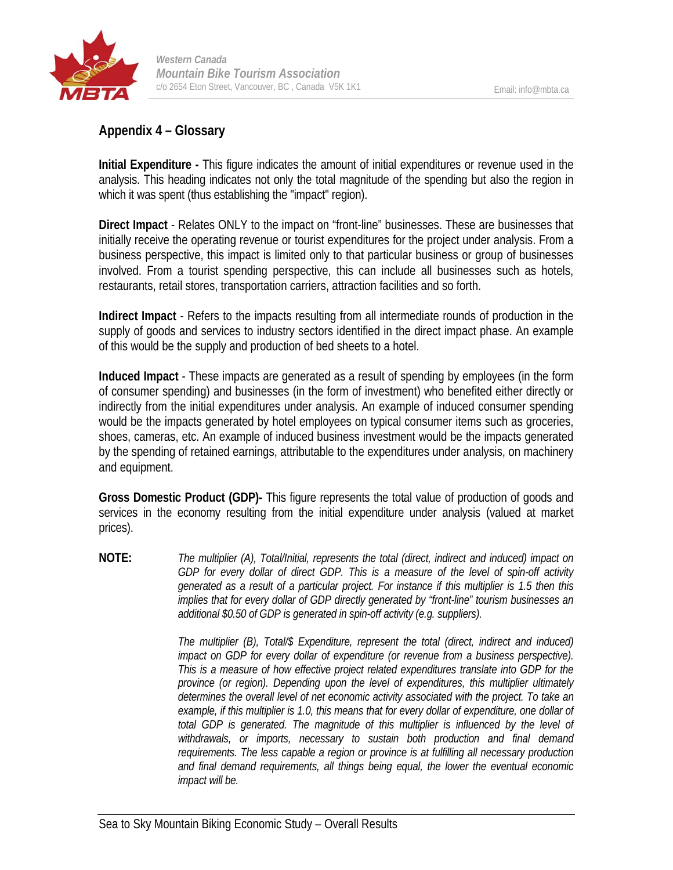

#### **Appendix 4 – Glossary**

**Initial Expenditure -** This figure indicates the amount of initial expenditures or revenue used in the analysis. This heading indicates not only the total magnitude of the spending but also the region in which it was spent (thus establishing the "impact" region).

**Direct Impact** - Relates ONLY to the impact on "front-line" businesses. These are businesses that initially receive the operating revenue or tourist expenditures for the project under analysis. From a business perspective, this impact is limited only to that particular business or group of businesses involved. From a tourist spending perspective, this can include all businesses such as hotels, restaurants, retail stores, transportation carriers, attraction facilities and so forth.

**Indirect Impact** - Refers to the impacts resulting from all intermediate rounds of production in the supply of goods and services to industry sectors identified in the direct impact phase. An example of this would be the supply and production of bed sheets to a hotel.

**Induced Impact** - These impacts are generated as a result of spending by employees (in the form of consumer spending) and businesses (in the form of investment) who benefited either directly or indirectly from the initial expenditures under analysis. An example of induced consumer spending would be the impacts generated by hotel employees on typical consumer items such as groceries, shoes, cameras, etc. An example of induced business investment would be the impacts generated by the spending of retained earnings, attributable to the expenditures under analysis, on machinery and equipment.

**Gross Domestic Product (GDP)-** This figure represents the total value of production of goods and services in the economy resulting from the initial expenditure under analysis (valued at market prices).

**NOTE:** *The multiplier (A), Total/Initial, represents the total (direct, indirect and induced) impact on GDP for every dollar of direct GDP. This is a measure of the level of spin-off activity generated as a result of a particular project. For instance if this multiplier is 1.5 then this implies that for every dollar of GDP directly generated by "front-line" tourism businesses an additional \$0.50 of GDP is generated in spin-off activity (e.g. suppliers).*

> *The multiplier (B), Total/\$ Expenditure, represent the total (direct, indirect and induced) impact on GDP for every dollar of expenditure (or revenue from a business perspective). This is a measure of how effective project related expenditures translate into GDP for the province (or region). Depending upon the level of expenditures, this multiplier ultimately determines the overall level of net economic activity associated with the project. To take an example, if this multiplier is 1.0, this means that for every dollar of expenditure, one dollar of*  total GDP is generated. The magnitude of this multiplier is influenced by the level of *withdrawals, or imports, necessary to sustain both production and final demand requirements. The less capable a region or province is at fulfilling all necessary production and final demand requirements, all things being equal, the lower the eventual economic impact will be.*